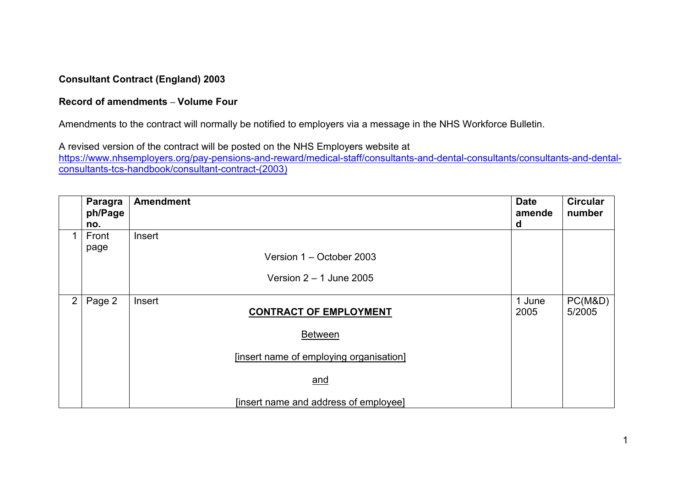## **Consultant Contract (England) 2003**

## **Record of amendments – Volume Four**

Amendments to the contract will normally be notified to employers via a message in the NHS Workforce Bulletin.

A revised version of the contract will be posted on the NHS Employers website at

[https://www.nhsemployers.org/pay-pensions-and-reward/medical-staff/consultants-and-dental-consultants/consultants-and-dental](https://www.nhsemployers.org/pay-pensions-and-reward/medical-staff/consultants-and-dental-consultants/consultants-and-dental-consultants-tcs-handbook/consultant-contract-(2003))[consultants-tcs-handbook/consultant-contract-\(2003\)](https://www.nhsemployers.org/pay-pensions-and-reward/medical-staff/consultants-and-dental-consultants/consultants-and-dental-consultants-tcs-handbook/consultant-contract-(2003))

|             | <b>Paragra</b><br>ph/Page<br>no. | <b>Amendment</b>                        | <b>Date</b><br>amende<br>d | <b>Circular</b><br>number |
|-------------|----------------------------------|-----------------------------------------|----------------------------|---------------------------|
|             | Front<br>page                    | Insert<br>Version 1 – October 2003      |                            |                           |
|             |                                  | Version $2 - 1$ June 2005               |                            |                           |
| $2^{\circ}$ | Page 2                           | Insert<br><b>CONTRACT OF EMPLOYMENT</b> | 1 June<br>2005             | PC(M&D)<br>5/2005         |
|             |                                  | <b>Between</b>                          |                            |                           |
|             |                                  | [insert name of employing organisation] |                            |                           |
|             |                                  | and                                     |                            |                           |
|             |                                  | [insert name and address of employee]   |                            |                           |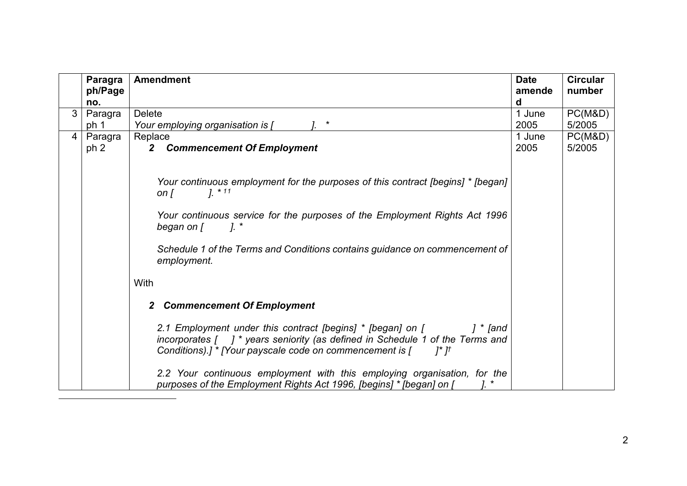<span id="page-1-0"></span>

|                | Paragra         | <b>Amendment</b>                                                                                                                                                                                                                                                                                                     | <b>Date</b> | <b>Circular</b> |
|----------------|-----------------|----------------------------------------------------------------------------------------------------------------------------------------------------------------------------------------------------------------------------------------------------------------------------------------------------------------------|-------------|-----------------|
|                | ph/Page         |                                                                                                                                                                                                                                                                                                                      | amende      | number          |
|                | no.             |                                                                                                                                                                                                                                                                                                                      | d           |                 |
| 3 <sup>1</sup> | Paragra         | <b>Delete</b>                                                                                                                                                                                                                                                                                                        | 1 June      | PC(M&D)         |
|                | ph 1            | $\star$<br>Your employing organisation is [                                                                                                                                                                                                                                                                          | 2005        | 5/2005          |
| $\overline{4}$ | Paragra         | Replace                                                                                                                                                                                                                                                                                                              | 1 June      | PC(M&D)         |
|                | ph <sub>2</sub> | <b>Commencement Of Employment</b><br>2                                                                                                                                                                                                                                                                               | 2005        | 5/2005          |
|                |                 | Your continuous employment for the purposes of this contract [begins] * [began]<br>$1. * 11$<br>on $\Gamma$<br>Your continuous service for the purposes of the Employment Rights Act 1996<br>$l_{\cdot}$<br>began on [<br>Schedule 1 of the Terms and Conditions contains guidance on commencement of<br>employment. |             |                 |
|                |                 | With                                                                                                                                                                                                                                                                                                                 |             |                 |
|                |                 | <b>Commencement Of Employment</b>                                                                                                                                                                                                                                                                                    |             |                 |
|                |                 | 2.1 Employment under this contract [begins] * [began] on [<br>] $*$ [and<br>incorporates $\begin{bmatrix} 1 \\ 1 \end{bmatrix}$ * years seniority (as defined in Schedule 1 of the Terms and<br>Conditions).] * [Your payscale code on commencement is [<br>$I^*I^{\dagger}$                                         |             |                 |
|                |                 | 2.2 Your continuous employment with this employing organisation, for the<br>purposes of the Employment Rights Act 1996, [begins] * [began] on [                                                                                                                                                                      |             |                 |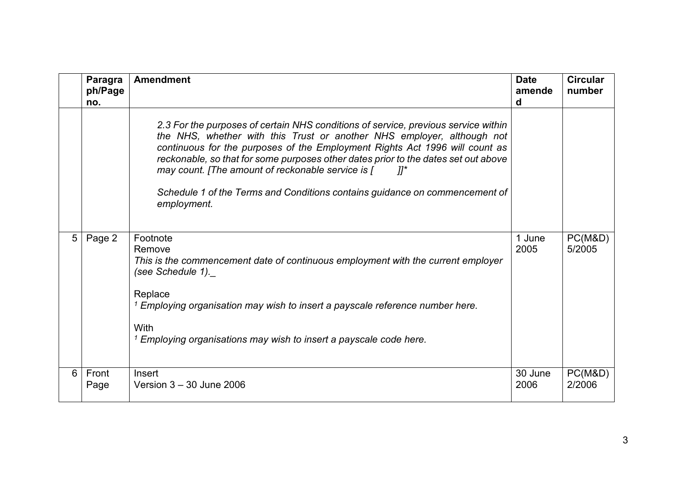|   | Paragra<br>ph/Page<br>no. | <b>Amendment</b>                                                                                                                                                                                                                                                                                                                                                                                                                                                                              | <b>Date</b><br>amende<br>d | <b>Circular</b><br>number |
|---|---------------------------|-----------------------------------------------------------------------------------------------------------------------------------------------------------------------------------------------------------------------------------------------------------------------------------------------------------------------------------------------------------------------------------------------------------------------------------------------------------------------------------------------|----------------------------|---------------------------|
|   |                           | 2.3 For the purposes of certain NHS conditions of service, previous service within<br>the NHS, whether with this Trust or another NHS employer, although not<br>continuous for the purposes of the Employment Rights Act 1996 will count as<br>reckonable, so that for some purposes other dates prior to the dates set out above<br>may count. [The amount of reckonable service is [<br>- 11*<br>Schedule 1 of the Terms and Conditions contains guidance on commencement of<br>employment. |                            |                           |
| 5 | Page 2                    | Footnote<br>Remove<br>This is the commencement date of continuous employment with the current employer<br>(see Schedule 1).<br>Replace<br><sup>1</sup> Employing organisation may wish to insert a payscale reference number here.<br><b>With</b><br>$1$ Employing organisations may wish to insert a payscale code here.                                                                                                                                                                     | 1 June<br>2005             | PC(M&D)<br>5/2005         |
| 6 | Front<br>Page             | Insert<br>Version $3 - 30$ June 2006                                                                                                                                                                                                                                                                                                                                                                                                                                                          | 30 June<br>2006            | PC(M&D)<br>2/2006         |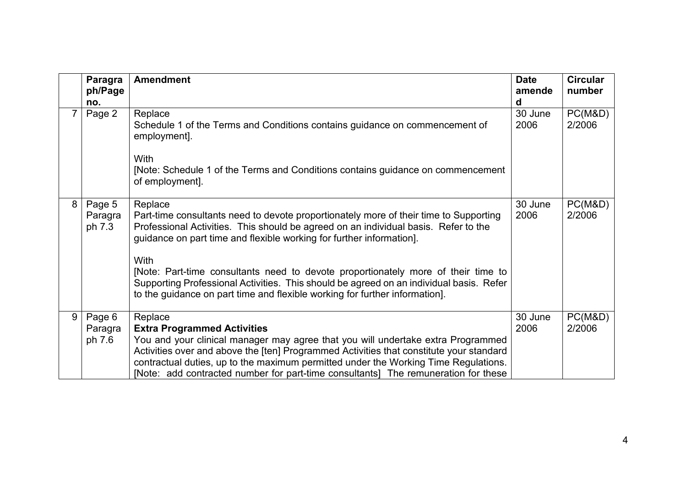|   | Paragra<br>ph/Page<br>no.   | <b>Amendment</b>                                                                                                                                                                                                                                                                                                                                                                                          | <b>Date</b><br>amende<br>d | <b>Circular</b><br>number |
|---|-----------------------------|-----------------------------------------------------------------------------------------------------------------------------------------------------------------------------------------------------------------------------------------------------------------------------------------------------------------------------------------------------------------------------------------------------------|----------------------------|---------------------------|
| 7 | Page 2                      | Replace<br>Schedule 1 of the Terms and Conditions contains guidance on commencement of<br>employment].<br>With                                                                                                                                                                                                                                                                                            | 30 June<br>2006            | PC(M&D)<br>2/2006         |
|   |                             | [Note: Schedule 1 of the Terms and Conditions contains guidance on commencement<br>of employment].                                                                                                                                                                                                                                                                                                        |                            |                           |
| 8 | Page 5<br>Paragra<br>ph 7.3 | Replace<br>Part-time consultants need to devote proportionately more of their time to Supporting<br>Professional Activities. This should be agreed on an individual basis. Refer to the<br>guidance on part time and flexible working for further information].                                                                                                                                           | 30 June<br>2006            | PC(M&D)<br>2/2006         |
|   |                             | With<br>[Note: Part-time consultants need to devote proportionately more of their time to<br>Supporting Professional Activities. This should be agreed on an individual basis. Refer<br>to the guidance on part time and flexible working for further information].                                                                                                                                       |                            |                           |
| 9 | Page 6<br>Paragra<br>ph 7.6 | Replace<br><b>Extra Programmed Activities</b><br>You and your clinical manager may agree that you will undertake extra Programmed<br>Activities over and above the [ten] Programmed Activities that constitute your standard<br>contractual duties, up to the maximum permitted under the Working Time Regulations.<br>[Note: add contracted number for part-time consultants] The remuneration for these | 30 June<br>2006            | PC(M&D)<br>2/2006         |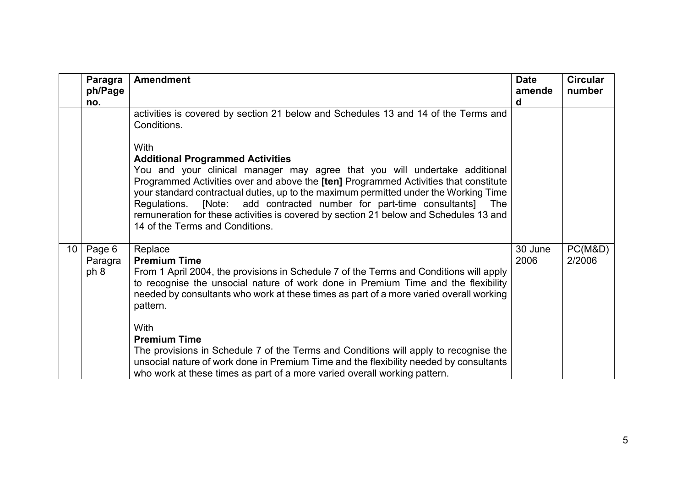<span id="page-4-0"></span>

|                 | Paragra                   | <b>Amendment</b>                                                                                                                                                                                                                                                                                                                                                                                                                                                                                                               | <b>Date</b>     | <b>Circular</b>   |
|-----------------|---------------------------|--------------------------------------------------------------------------------------------------------------------------------------------------------------------------------------------------------------------------------------------------------------------------------------------------------------------------------------------------------------------------------------------------------------------------------------------------------------------------------------------------------------------------------|-----------------|-------------------|
|                 | ph/Page<br>no.            |                                                                                                                                                                                                                                                                                                                                                                                                                                                                                                                                | amende<br>d     | number            |
|                 |                           | activities is covered by section 21 below and Schedules 13 and 14 of the Terms and<br>Conditions.                                                                                                                                                                                                                                                                                                                                                                                                                              |                 |                   |
|                 |                           | With<br><b>Additional Programmed Activities</b><br>You and your clinical manager may agree that you will undertake additional<br>Programmed Activities over and above the [ten] Programmed Activities that constitute<br>your standard contractual duties, up to the maximum permitted under the Working Time<br>add contracted number for part-time consultants]<br>Regulations.<br>[Note:<br>The<br>remuneration for these activities is covered by section 21 below and Schedules 13 and<br>14 of the Terms and Conditions. |                 |                   |
| 10 <sup>°</sup> | Page 6<br>Paragra<br>ph 8 | Replace<br><b>Premium Time</b><br>From 1 April 2004, the provisions in Schedule 7 of the Terms and Conditions will apply<br>to recognise the unsocial nature of work done in Premium Time and the flexibility<br>needed by consultants who work at these times as part of a more varied overall working<br>pattern.<br>With<br><b>Premium Time</b>                                                                                                                                                                             | 30 June<br>2006 | PC(M&D)<br>2/2006 |
|                 |                           | The provisions in Schedule 7 of the Terms and Conditions will apply to recognise the<br>unsocial nature of work done in Premium Time and the flexibility needed by consultants<br>who work at these times as part of a more varied overall working pattern.                                                                                                                                                                                                                                                                    |                 |                   |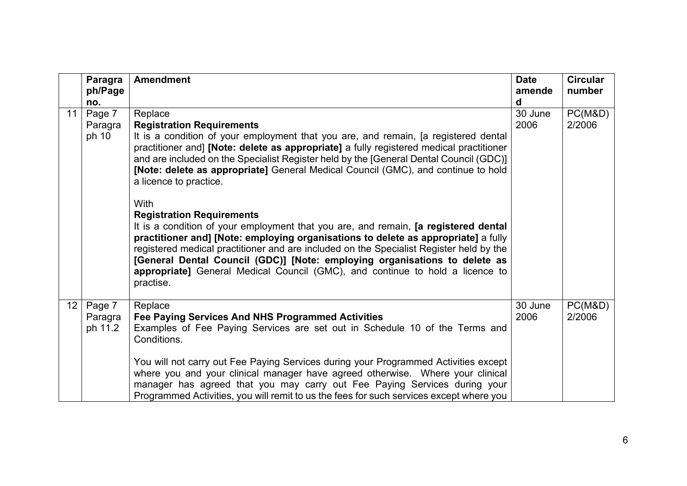|                 | Paragra                      | <b>Amendment</b>                                                                                                                                                                                                                                                                                                                                                                                                                                                                                            | <b>Date</b>     | <b>Circular</b>   |
|-----------------|------------------------------|-------------------------------------------------------------------------------------------------------------------------------------------------------------------------------------------------------------------------------------------------------------------------------------------------------------------------------------------------------------------------------------------------------------------------------------------------------------------------------------------------------------|-----------------|-------------------|
|                 | ph/Page<br>no.               |                                                                                                                                                                                                                                                                                                                                                                                                                                                                                                             | amende<br>d     | number            |
| 11              | Page 7<br>Paragra<br>ph 10   | Replace<br><b>Registration Requirements</b><br>It is a condition of your employment that you are, and remain, [a registered dental<br>practitioner and] [Note: delete as appropriate] a fully registered medical practitioner<br>and are included on the Specialist Register held by the [General Dental Council (GDC)]<br>[Note: delete as appropriate] General Medical Council (GMC), and continue to hold<br>a licence to practice.                                                                      | 30 June<br>2006 | PC(M&D)<br>2/2006 |
|                 |                              | <b>With</b><br><b>Registration Requirements</b><br>It is a condition of your employment that you are, and remain, [a registered dental<br>practitioner and] [Note: employing organisations to delete as appropriate] a fully<br>registered medical practitioner and are included on the Specialist Register held by the<br>[General Dental Council (GDC)] [Note: employing organisations to delete as<br>appropriate] General Medical Council (GMC), and continue to hold a licence to<br>practise.         |                 |                   |
| 12 <sup>°</sup> | Page 7<br>Paragra<br>ph 11.2 | Replace<br>Fee Paying Services And NHS Programmed Activities<br>Examples of Fee Paying Services are set out in Schedule 10 of the Terms and<br>Conditions.<br>You will not carry out Fee Paying Services during your Programmed Activities except<br>where you and your clinical manager have agreed otherwise. Where your clinical<br>manager has agreed that you may carry out Fee Paying Services during your<br>Programmed Activities, you will remit to us the fees for such services except where you | 30 June<br>2006 | PC(M&D)<br>2/2006 |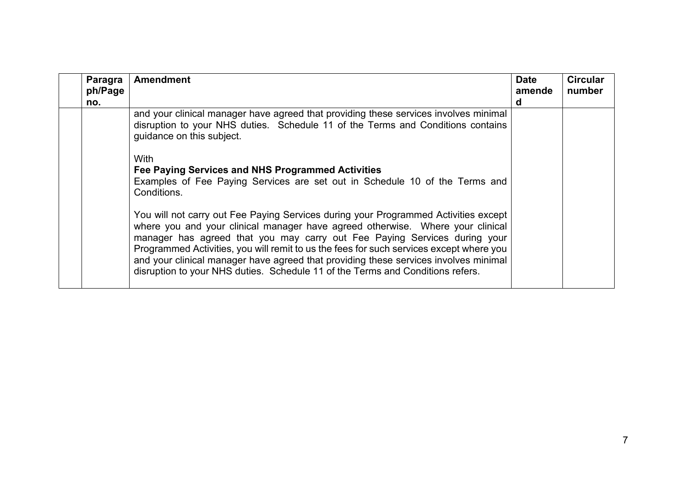| Paragra<br>ph/Page<br>no. | <b>Amendment</b>                                                                                                                                                                                                                                                                                                                                                                                                                                                                                                        | <b>Date</b><br>amende<br>d | <b>Circular</b><br>number |
|---------------------------|-------------------------------------------------------------------------------------------------------------------------------------------------------------------------------------------------------------------------------------------------------------------------------------------------------------------------------------------------------------------------------------------------------------------------------------------------------------------------------------------------------------------------|----------------------------|---------------------------|
|                           | and your clinical manager have agreed that providing these services involves minimal<br>disruption to your NHS duties. Schedule 11 of the Terms and Conditions contains<br>guidance on this subject.                                                                                                                                                                                                                                                                                                                    |                            |                           |
|                           | <b>With</b><br>Fee Paying Services and NHS Programmed Activities<br>Examples of Fee Paying Services are set out in Schedule 10 of the Terms and<br>Conditions.                                                                                                                                                                                                                                                                                                                                                          |                            |                           |
|                           | You will not carry out Fee Paying Services during your Programmed Activities except<br>where you and your clinical manager have agreed otherwise. Where your clinical<br>manager has agreed that you may carry out Fee Paying Services during your<br>Programmed Activities, you will remit to us the fees for such services except where you<br>and your clinical manager have agreed that providing these services involves minimal<br>disruption to your NHS duties. Schedule 11 of the Terms and Conditions refers. |                            |                           |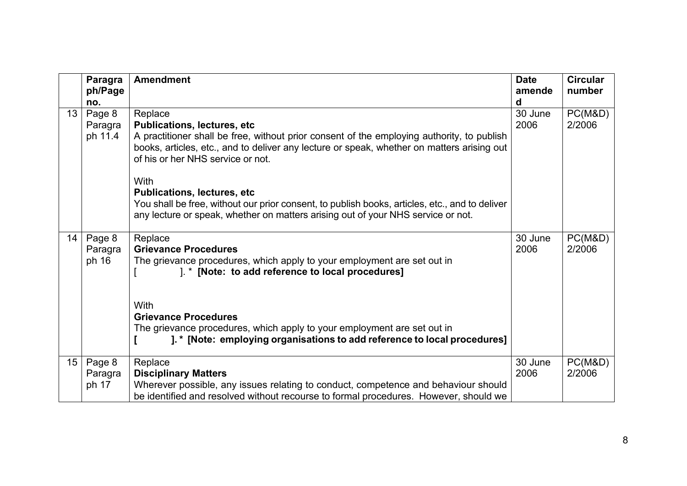|                  | Paragra          | <b>Amendment</b>                                                                               | <b>Date</b> | <b>Circular</b>   |
|------------------|------------------|------------------------------------------------------------------------------------------------|-------------|-------------------|
|                  | ph/Page          |                                                                                                | amende      | number            |
|                  | no.              |                                                                                                | d           |                   |
| 13               | Page 8           | Replace                                                                                        | 30 June     | PC(M&D)           |
|                  | Paragra          | <b>Publications, lectures, etc</b>                                                             | 2006        | 2/2006            |
|                  | ph 11.4          | A practitioner shall be free, without prior consent of the employing authority, to publish     |             |                   |
|                  |                  | books, articles, etc., and to deliver any lecture or speak, whether on matters arising out     |             |                   |
|                  |                  | of his or her NHS service or not.                                                              |             |                   |
|                  |                  | <b>With</b>                                                                                    |             |                   |
|                  |                  | <b>Publications, lectures, etc</b>                                                             |             |                   |
|                  |                  | You shall be free, without our prior consent, to publish books, articles, etc., and to deliver |             |                   |
|                  |                  | any lecture or speak, whether on matters arising out of your NHS service or not.               |             |                   |
|                  |                  |                                                                                                |             |                   |
| 14               | Page 8           | Replace                                                                                        | 30 June     | PC(M&D)           |
|                  | Paragra          | <b>Grievance Procedures</b>                                                                    | 2006        | 2/2006            |
|                  | ph 16            | The grievance procedures, which apply to your employment are set out in                        |             |                   |
|                  |                  | ]. * [Note: to add reference to local procedures]                                              |             |                   |
|                  |                  |                                                                                                |             |                   |
|                  |                  | With                                                                                           |             |                   |
|                  |                  | <b>Grievance Procedures</b>                                                                    |             |                   |
|                  |                  | The grievance procedures, which apply to your employment are set out in                        |             |                   |
|                  |                  | ]. * [Note: employing organisations to add reference to local procedures]                      |             |                   |
| 15 <sub>15</sub> |                  |                                                                                                | 30 June     |                   |
|                  | Page 8           | Replace<br><b>Disciplinary Matters</b>                                                         | 2006        | PC(M&D)<br>2/2006 |
|                  | Paragra<br>ph 17 | Wherever possible, any issues relating to conduct, competence and behaviour should             |             |                   |
|                  |                  | be identified and resolved without recourse to formal procedures. However, should we           |             |                   |
|                  |                  |                                                                                                |             |                   |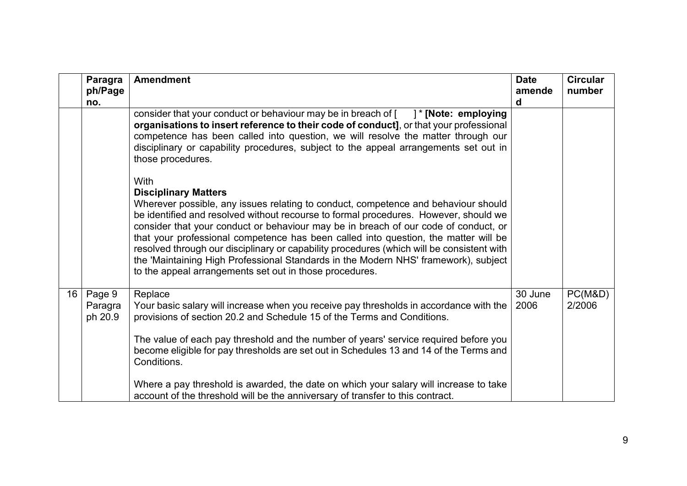|    | Paragra<br>ph/Page<br>no.    | <b>Amendment</b>                                                                                                                                                                                                                                                                                                                                                                                                                                                                                                                                                                                                                                      | <b>Date</b><br>amende<br>d | <b>Circular</b><br>number |
|----|------------------------------|-------------------------------------------------------------------------------------------------------------------------------------------------------------------------------------------------------------------------------------------------------------------------------------------------------------------------------------------------------------------------------------------------------------------------------------------------------------------------------------------------------------------------------------------------------------------------------------------------------------------------------------------------------|----------------------------|---------------------------|
|    |                              | consider that your conduct or behaviour may be in breach of $\lceil \quad \rceil^*$ [Note: employing<br>organisations to insert reference to their code of conduct], or that your professional<br>competence has been called into question, we will resolve the matter through our<br>disciplinary or capability procedures, subject to the appeal arrangements set out in<br>those procedures.                                                                                                                                                                                                                                                       |                            |                           |
|    |                              | <b>With</b><br><b>Disciplinary Matters</b><br>Wherever possible, any issues relating to conduct, competence and behaviour should<br>be identified and resolved without recourse to formal procedures. However, should we<br>consider that your conduct or behaviour may be in breach of our code of conduct, or<br>that your professional competence has been called into question, the matter will be<br>resolved through our disciplinary or capability procedures (which will be consistent with<br>the 'Maintaining High Professional Standards in the Modern NHS' framework), subject<br>to the appeal arrangements set out in those procedures. |                            |                           |
| 16 | Page 9<br>Paragra<br>ph 20.9 | Replace<br>Your basic salary will increase when you receive pay thresholds in accordance with the<br>provisions of section 20.2 and Schedule 15 of the Terms and Conditions.<br>The value of each pay threshold and the number of years' service required before you<br>become eligible for pay thresholds are set out in Schedules 13 and 14 of the Terms and<br>Conditions.                                                                                                                                                                                                                                                                         | 30 June<br>2006            | PC(M&D)<br>2/2006         |
|    |                              | Where a pay threshold is awarded, the date on which your salary will increase to take<br>account of the threshold will be the anniversary of transfer to this contract.                                                                                                                                                                                                                                                                                                                                                                                                                                                                               |                            |                           |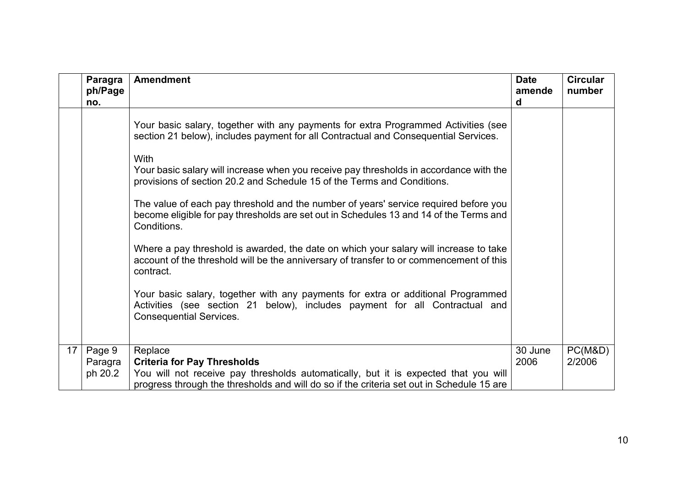|                 | Paragra<br>ph/Page<br>no. | <b>Amendment</b>                                                                                                                                                                                  | <b>Date</b><br>amende<br>d | <b>Circular</b><br>number |
|-----------------|---------------------------|---------------------------------------------------------------------------------------------------------------------------------------------------------------------------------------------------|----------------------------|---------------------------|
|                 |                           | Your basic salary, together with any payments for extra Programmed Activities (see<br>section 21 below), includes payment for all Contractual and Consequential Services.                         |                            |                           |
|                 |                           | <b>With</b><br>Your basic salary will increase when you receive pay thresholds in accordance with the<br>provisions of section 20.2 and Schedule 15 of the Terms and Conditions.                  |                            |                           |
|                 |                           | The value of each pay threshold and the number of years' service required before you<br>become eligible for pay thresholds are set out in Schedules 13 and 14 of the Terms and<br>Conditions.     |                            |                           |
|                 |                           | Where a pay threshold is awarded, the date on which your salary will increase to take<br>account of the threshold will be the anniversary of transfer to or commencement of this<br>contract.     |                            |                           |
|                 |                           | Your basic salary, together with any payments for extra or additional Programmed<br>Activities (see section 21 below), includes payment for all Contractual and<br><b>Consequential Services.</b> |                            |                           |
| 17 <sup>2</sup> | Page 9                    | Replace                                                                                                                                                                                           | 30 June                    | PC(M&D)                   |
|                 | Paragra                   | <b>Criteria for Pay Thresholds</b>                                                                                                                                                                | 2006                       | 2/2006                    |
|                 | ph 20.2                   | You will not receive pay thresholds automatically, but it is expected that you will                                                                                                               |                            |                           |
|                 |                           | progress through the thresholds and will do so if the criteria set out in Schedule 15 are                                                                                                         |                            |                           |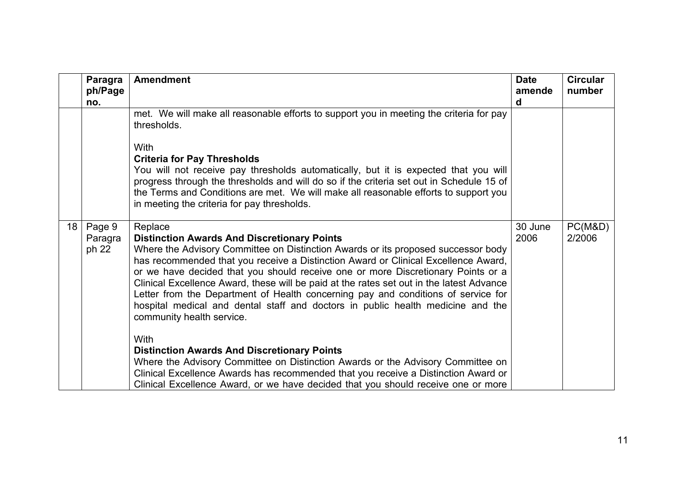|    | Paragra<br>ph/Page<br>no. | <b>Amendment</b>                                                                                                                                                                                                                                                                                                       | <b>Date</b><br>amende<br>d | <b>Circular</b><br>number |
|----|---------------------------|------------------------------------------------------------------------------------------------------------------------------------------------------------------------------------------------------------------------------------------------------------------------------------------------------------------------|----------------------------|---------------------------|
|    |                           | met. We will make all reasonable efforts to support you in meeting the criteria for pay<br>thresholds.                                                                                                                                                                                                                 |                            |                           |
|    |                           | <b>With</b>                                                                                                                                                                                                                                                                                                            |                            |                           |
|    |                           | <b>Criteria for Pay Thresholds</b>                                                                                                                                                                                                                                                                                     |                            |                           |
|    |                           | You will not receive pay thresholds automatically, but it is expected that you will<br>progress through the thresholds and will do so if the criteria set out in Schedule 15 of<br>the Terms and Conditions are met. We will make all reasonable efforts to support you<br>in meeting the criteria for pay thresholds. |                            |                           |
| 18 | Page 9                    | Replace                                                                                                                                                                                                                                                                                                                | 30 June                    | PC(M&D)                   |
|    | Paragra                   | <b>Distinction Awards And Discretionary Points</b>                                                                                                                                                                                                                                                                     | 2006                       | 2/2006                    |
|    | ph 22                     | Where the Advisory Committee on Distinction Awards or its proposed successor body                                                                                                                                                                                                                                      |                            |                           |
|    |                           | has recommended that you receive a Distinction Award or Clinical Excellence Award,<br>or we have decided that you should receive one or more Discretionary Points or a                                                                                                                                                 |                            |                           |
|    |                           | Clinical Excellence Award, these will be paid at the rates set out in the latest Advance                                                                                                                                                                                                                               |                            |                           |
|    |                           | Letter from the Department of Health concerning pay and conditions of service for                                                                                                                                                                                                                                      |                            |                           |
|    |                           | hospital medical and dental staff and doctors in public health medicine and the<br>community health service.                                                                                                                                                                                                           |                            |                           |
|    |                           |                                                                                                                                                                                                                                                                                                                        |                            |                           |
|    |                           | <b>With</b>                                                                                                                                                                                                                                                                                                            |                            |                           |
|    |                           | <b>Distinction Awards And Discretionary Points</b>                                                                                                                                                                                                                                                                     |                            |                           |
|    |                           | Where the Advisory Committee on Distinction Awards or the Advisory Committee on                                                                                                                                                                                                                                        |                            |                           |
|    |                           | Clinical Excellence Awards has recommended that you receive a Distinction Award or                                                                                                                                                                                                                                     |                            |                           |
|    |                           | Clinical Excellence Award, or we have decided that you should receive one or more                                                                                                                                                                                                                                      |                            |                           |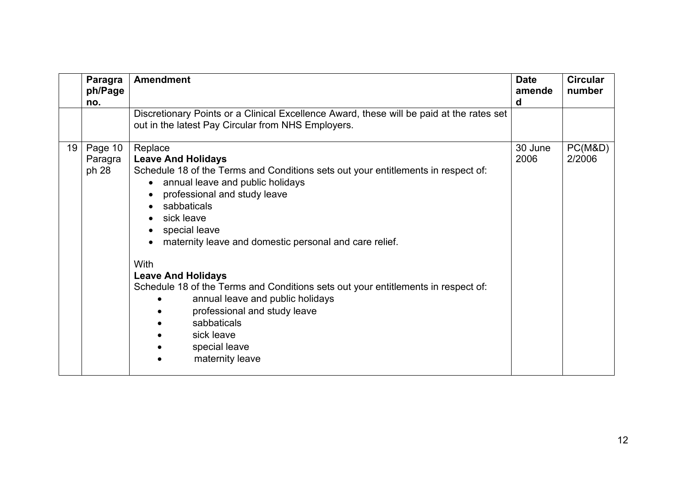|    | Paragra<br>ph/Page<br>no.   | <b>Amendment</b>                                                                                                                                                                                                                                                                                                                                                                                                                                                                                                                                                                  | <b>Date</b><br>amende<br>d | <b>Circular</b><br>number |
|----|-----------------------------|-----------------------------------------------------------------------------------------------------------------------------------------------------------------------------------------------------------------------------------------------------------------------------------------------------------------------------------------------------------------------------------------------------------------------------------------------------------------------------------------------------------------------------------------------------------------------------------|----------------------------|---------------------------|
|    |                             | Discretionary Points or a Clinical Excellence Award, these will be paid at the rates set<br>out in the latest Pay Circular from NHS Employers.                                                                                                                                                                                                                                                                                                                                                                                                                                    |                            |                           |
| 19 | Page 10<br>Paragra<br>ph 28 | Replace<br><b>Leave And Holidays</b><br>Schedule 18 of the Terms and Conditions sets out your entitlements in respect of:<br>annual leave and public holidays<br>$\bullet$<br>professional and study leave<br>sabbaticals<br>sick leave<br>special leave<br>maternity leave and domestic personal and care relief.<br>With<br><b>Leave And Holidays</b><br>Schedule 18 of the Terms and Conditions sets out your entitlements in respect of:<br>annual leave and public holidays<br>professional and study leave<br>sabbaticals<br>sick leave<br>special leave<br>maternity leave | 30 June<br>2006            | PC(M&D)<br>2/2006         |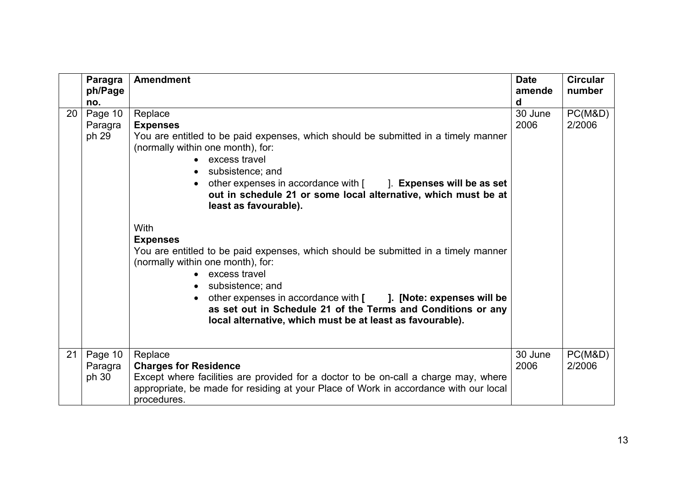| Paragra<br>ph/Page                | <b>Amendment</b>                                                                                                                                                                                                                                                                                                                                                                                                                                                                                                                                                                                                                                                                                                                                                                                        | <b>Date</b><br>amende | <b>Circular</b><br>number |
|-----------------------------------|---------------------------------------------------------------------------------------------------------------------------------------------------------------------------------------------------------------------------------------------------------------------------------------------------------------------------------------------------------------------------------------------------------------------------------------------------------------------------------------------------------------------------------------------------------------------------------------------------------------------------------------------------------------------------------------------------------------------------------------------------------------------------------------------------------|-----------------------|---------------------------|
| no.                               |                                                                                                                                                                                                                                                                                                                                                                                                                                                                                                                                                                                                                                                                                                                                                                                                         | d                     |                           |
| Page 10<br>20<br>Paragra<br>ph 29 | Replace<br><b>Expenses</b><br>You are entitled to be paid expenses, which should be submitted in a timely manner<br>(normally within one month), for:<br>• excess travel<br>subsistence; and<br>$\bullet$<br>other expenses in accordance with [iiith]. Expenses will be as set<br>$\bullet$<br>out in schedule 21 or some local alternative, which must be at<br>least as favourable).<br><b>With</b><br><b>Expenses</b><br>You are entitled to be paid expenses, which should be submitted in a timely manner<br>(normally within one month), for:<br>• excess travel<br>subsistence; and<br>other expenses in accordance with [ ]. [Note: expenses will be<br>$\bullet$<br>as set out in Schedule 21 of the Terms and Conditions or any<br>local alternative, which must be at least as favourable). | 30 June<br>2006       | PC(M&D)<br>2/2006         |
| Page 10<br>21<br>Paragra<br>ph 30 | Replace<br><b>Charges for Residence</b><br>Except where facilities are provided for a doctor to be on-call a charge may, where<br>appropriate, be made for residing at your Place of Work in accordance with our local<br>procedures.                                                                                                                                                                                                                                                                                                                                                                                                                                                                                                                                                                   | 30 June<br>2006       | PC(M&D)<br>2/2006         |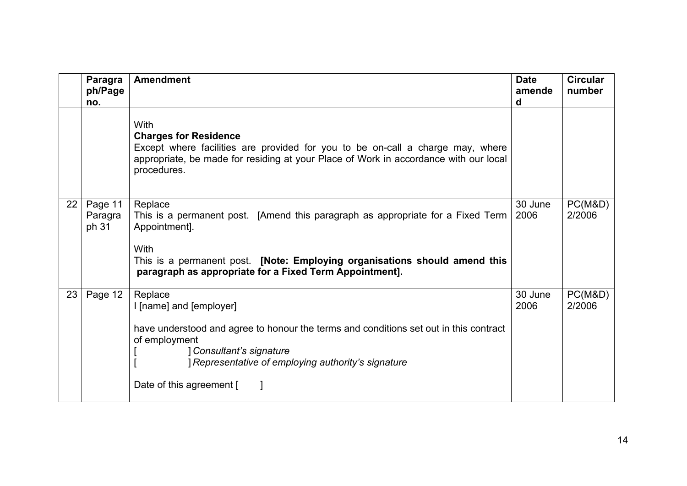|    | Paragra<br>ph/Page<br>no.   | <b>Amendment</b>                                                                                                                                                                                                                                                    | <b>Date</b><br>amende<br>d | <b>Circular</b><br>number |
|----|-----------------------------|---------------------------------------------------------------------------------------------------------------------------------------------------------------------------------------------------------------------------------------------------------------------|----------------------------|---------------------------|
|    |                             | <b>With</b><br><b>Charges for Residence</b><br>Except where facilities are provided for you to be on-call a charge may, where<br>appropriate, be made for residing at your Place of Work in accordance with our local<br>procedures.                                |                            |                           |
| 22 | Page 11<br>Paragra<br>ph 31 | Replace<br>This is a permanent post. [Amend this paragraph as appropriate for a Fixed Term<br>Appointment].<br><b>With</b><br>This is a permanent post. [Note: Employing organisations should amend this<br>paragraph as appropriate for a Fixed Term Appointment]. | 30 June<br>2006            | PC(M&D)<br>2/2006         |
| 23 | Page 12                     | Replace<br>I [name] and [employer]<br>have understood and agree to honour the terms and conditions set out in this contract<br>of employment<br>Consultant's signature<br>Representative of employing authority's signature<br>Date of this agreement [             | 30 June<br>2006            | PC(M&D)<br>2/2006         |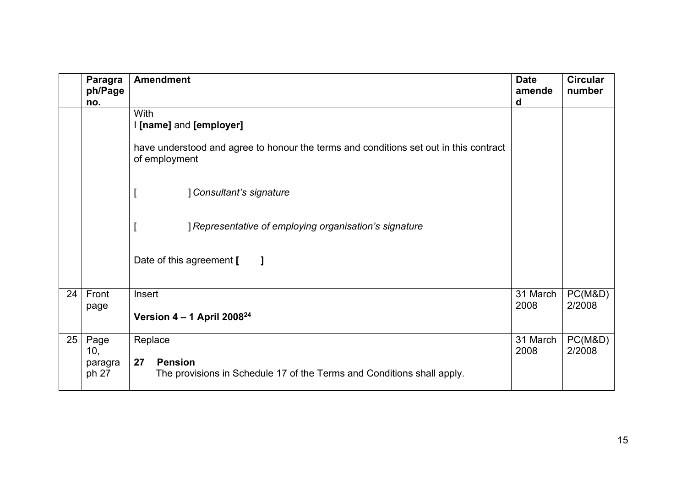|    | Paragra<br>ph/Page<br>no.       | <b>Amendment</b>                                                                                                         | <b>Date</b><br>amende<br>d | <b>Circular</b><br>number |
|----|---------------------------------|--------------------------------------------------------------------------------------------------------------------------|----------------------------|---------------------------|
|    |                                 | With<br>I [name] and [employer]<br>have understood and agree to honour the terms and conditions set out in this contract |                            |                           |
|    |                                 | of employment<br>] Consultant's signature<br>] Representative of employing organisation's signature                      |                            |                           |
|    |                                 | Date of this agreement [<br>1                                                                                            |                            |                           |
| 24 | Front<br>page                   | Insert<br>Version $4 - 1$ April 2008 <sup>24</sup>                                                                       | 31 March<br>2008           | PC(M&D)<br>2/2008         |
| 25 | Page<br>10,<br>paragra<br>ph 27 | Replace<br>27<br><b>Pension</b><br>The provisions in Schedule 17 of the Terms and Conditions shall apply.                | 31 March<br>2008           | PC(M&D)<br>2/2008         |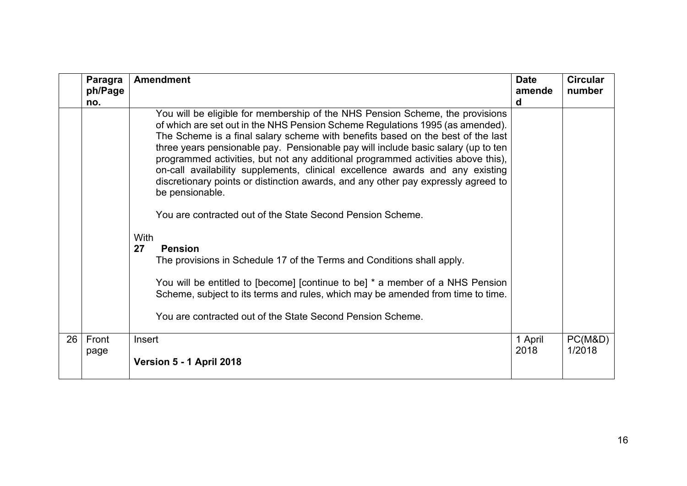|    | Paragra<br>ph/Page<br>no. | <b>Amendment</b>                                                                                                                                                                                                                                                                                                                                                                                                                                                                                                                                                                                                                                                                                                                                                                                                                                                                                                                                                                                                                     | <b>Date</b><br>amende<br>d | <b>Circular</b><br>number |
|----|---------------------------|--------------------------------------------------------------------------------------------------------------------------------------------------------------------------------------------------------------------------------------------------------------------------------------------------------------------------------------------------------------------------------------------------------------------------------------------------------------------------------------------------------------------------------------------------------------------------------------------------------------------------------------------------------------------------------------------------------------------------------------------------------------------------------------------------------------------------------------------------------------------------------------------------------------------------------------------------------------------------------------------------------------------------------------|----------------------------|---------------------------|
|    |                           | You will be eligible for membership of the NHS Pension Scheme, the provisions<br>of which are set out in the NHS Pension Scheme Regulations 1995 (as amended).<br>The Scheme is a final salary scheme with benefits based on the best of the last<br>three years pensionable pay. Pensionable pay will include basic salary (up to ten<br>programmed activities, but not any additional programmed activities above this),<br>on-call availability supplements, clinical excellence awards and any existing<br>discretionary points or distinction awards, and any other pay expressly agreed to<br>be pensionable.<br>You are contracted out of the State Second Pension Scheme.<br><b>With</b><br>27<br><b>Pension</b><br>The provisions in Schedule 17 of the Terms and Conditions shall apply.<br>You will be entitled to [become] [continue to be] * a member of a NHS Pension<br>Scheme, subject to its terms and rules, which may be amended from time to time.<br>You are contracted out of the State Second Pension Scheme. |                            |                           |
| 26 | Front<br>page             | Insert<br>Version 5 - 1 April 2018                                                                                                                                                                                                                                                                                                                                                                                                                                                                                                                                                                                                                                                                                                                                                                                                                                                                                                                                                                                                   | 1 April<br>2018            | PC(M&D)<br>1/2018         |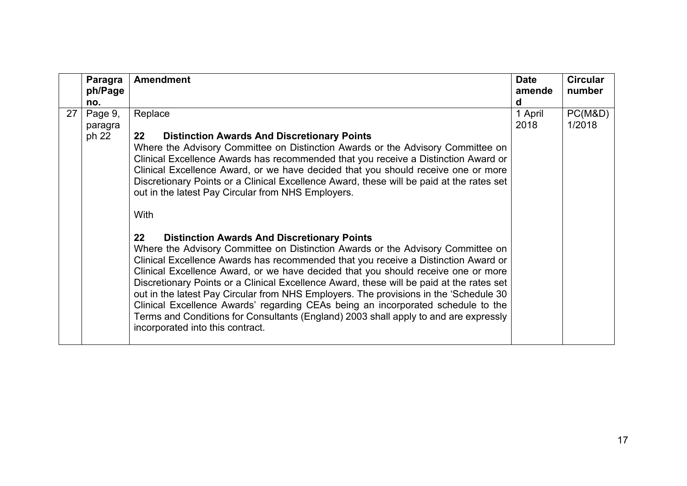|    | Paragra<br>ph/Page          | <b>Amendment</b>                                                                                                                                                                                                                                                                                                                                                                                                                                                                                                                                                                                                                                                                                                                 | <b>Date</b><br>amende | <b>Circular</b><br>number |
|----|-----------------------------|----------------------------------------------------------------------------------------------------------------------------------------------------------------------------------------------------------------------------------------------------------------------------------------------------------------------------------------------------------------------------------------------------------------------------------------------------------------------------------------------------------------------------------------------------------------------------------------------------------------------------------------------------------------------------------------------------------------------------------|-----------------------|---------------------------|
|    | no.                         |                                                                                                                                                                                                                                                                                                                                                                                                                                                                                                                                                                                                                                                                                                                                  | d                     |                           |
| 27 | Page 9,<br>paragra<br>ph 22 | Replace<br>$22 \,$<br><b>Distinction Awards And Discretionary Points</b><br>Where the Advisory Committee on Distinction Awards or the Advisory Committee on<br>Clinical Excellence Awards has recommended that you receive a Distinction Award or<br>Clinical Excellence Award, or we have decided that you should receive one or more<br>Discretionary Points or a Clinical Excellence Award, these will be paid at the rates set<br>out in the latest Pay Circular from NHS Employers.<br>With                                                                                                                                                                                                                                 | 1 April<br>2018       | PC(M&D)<br>1/2018         |
|    |                             | $22 \,$<br><b>Distinction Awards And Discretionary Points</b><br>Where the Advisory Committee on Distinction Awards or the Advisory Committee on<br>Clinical Excellence Awards has recommended that you receive a Distinction Award or<br>Clinical Excellence Award, or we have decided that you should receive one or more<br>Discretionary Points or a Clinical Excellence Award, these will be paid at the rates set<br>out in the latest Pay Circular from NHS Employers. The provisions in the 'Schedule 30<br>Clinical Excellence Awards' regarding CEAs being an incorporated schedule to the<br>Terms and Conditions for Consultants (England) 2003 shall apply to and are expressly<br>incorporated into this contract. |                       |                           |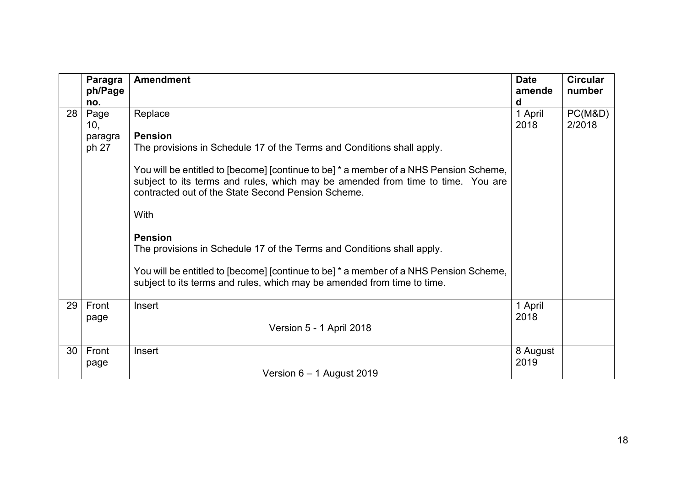|    | Paragra<br>ph/Page | <b>Amendment</b>                                                                                                                                                                                                               | <b>Date</b><br>amende<br>d | <b>Circular</b><br>number |
|----|--------------------|--------------------------------------------------------------------------------------------------------------------------------------------------------------------------------------------------------------------------------|----------------------------|---------------------------|
| 28 | no.<br>Page        | Replace                                                                                                                                                                                                                        | 1 April                    | PC(M&D)                   |
|    | 10,                |                                                                                                                                                                                                                                | 2018                       | 2/2018                    |
|    | paragra            | <b>Pension</b>                                                                                                                                                                                                                 |                            |                           |
|    | ph 27              | The provisions in Schedule 17 of the Terms and Conditions shall apply.                                                                                                                                                         |                            |                           |
|    |                    | You will be entitled to [become] [continue to be] * a member of a NHS Pension Scheme,<br>subject to its terms and rules, which may be amended from time to time. You are<br>contracted out of the State Second Pension Scheme. |                            |                           |
|    |                    | With                                                                                                                                                                                                                           |                            |                           |
|    |                    | <b>Pension</b><br>The provisions in Schedule 17 of the Terms and Conditions shall apply.                                                                                                                                       |                            |                           |
|    |                    | You will be entitled to [become] [continue to be] * a member of a NHS Pension Scheme,<br>subject to its terms and rules, which may be amended from time to time.                                                               |                            |                           |
| 29 | Front              | Insert                                                                                                                                                                                                                         | 1 April                    |                           |
|    | page               |                                                                                                                                                                                                                                | 2018                       |                           |
|    |                    | Version 5 - 1 April 2018                                                                                                                                                                                                       |                            |                           |
| 30 | Front              | Insert                                                                                                                                                                                                                         | 8 August                   |                           |
|    | page               |                                                                                                                                                                                                                                | 2019                       |                           |
|    |                    | Version $6 - 1$ August 2019                                                                                                                                                                                                    |                            |                           |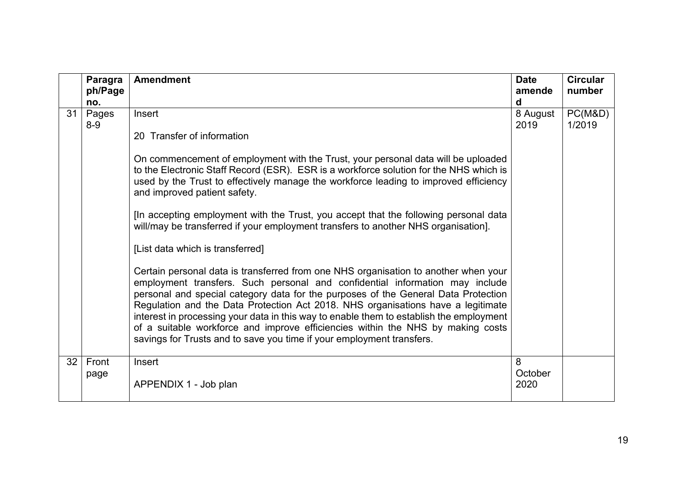|    | Paragra<br>ph/Page<br>no. | <b>Amendment</b>                                                                                                                                                                                                                                                                                                                                                                                                                                                                                                                                                                                                                                                                                                                                                                                                                                                                                                                                                                                          | <b>Date</b><br>amende<br>d | <b>Circular</b><br>number |
|----|---------------------------|-----------------------------------------------------------------------------------------------------------------------------------------------------------------------------------------------------------------------------------------------------------------------------------------------------------------------------------------------------------------------------------------------------------------------------------------------------------------------------------------------------------------------------------------------------------------------------------------------------------------------------------------------------------------------------------------------------------------------------------------------------------------------------------------------------------------------------------------------------------------------------------------------------------------------------------------------------------------------------------------------------------|----------------------------|---------------------------|
| 31 | Pages<br>$8-9$            | Insert<br>20 Transfer of information<br>On commencement of employment with the Trust, your personal data will be uploaded<br>to the Electronic Staff Record (ESR). ESR is a workforce solution for the NHS which is<br>used by the Trust to effectively manage the workforce leading to improved efficiency<br>and improved patient safety.<br>[In accepting employment with the Trust, you accept that the following personal data<br>will/may be transferred if your employment transfers to another NHS organisation].<br>[List data which is transferred]<br>Certain personal data is transferred from one NHS organisation to another when your<br>employment transfers. Such personal and confidential information may include<br>personal and special category data for the purposes of the General Data Protection<br>Regulation and the Data Protection Act 2018. NHS organisations have a legitimate<br>interest in processing your data in this way to enable them to establish the employment | 8 August<br>2019           | PC(M&D)<br>1/2019         |
|    |                           | of a suitable workforce and improve efficiencies within the NHS by making costs<br>savings for Trusts and to save you time if your employment transfers.                                                                                                                                                                                                                                                                                                                                                                                                                                                                                                                                                                                                                                                                                                                                                                                                                                                  |                            |                           |
| 32 | Front<br>page             | Insert<br>APPENDIX 1 - Job plan                                                                                                                                                                                                                                                                                                                                                                                                                                                                                                                                                                                                                                                                                                                                                                                                                                                                                                                                                                           | 8<br>October<br>2020       |                           |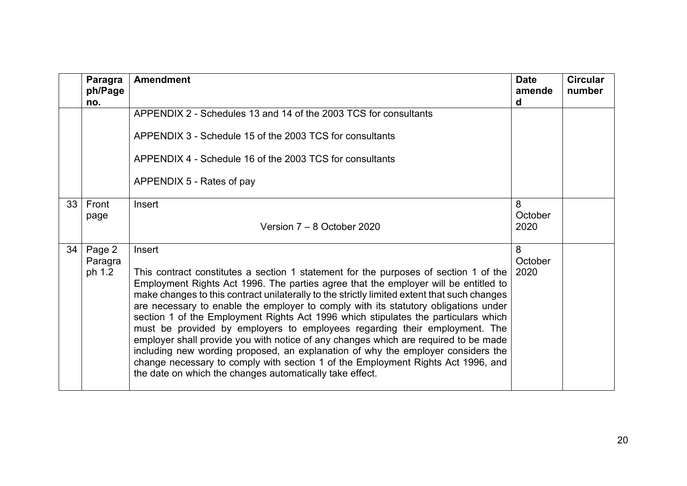|    | Paragra<br>ph/Page<br>no.   | <b>Amendment</b>                                                                                                                                                                                                                                                                                                                                                                                                                                                                                                                                                                                                                                                                                                                                                                                                                                                           | <b>Date</b><br>amende<br>d | <b>Circular</b><br>number |
|----|-----------------------------|----------------------------------------------------------------------------------------------------------------------------------------------------------------------------------------------------------------------------------------------------------------------------------------------------------------------------------------------------------------------------------------------------------------------------------------------------------------------------------------------------------------------------------------------------------------------------------------------------------------------------------------------------------------------------------------------------------------------------------------------------------------------------------------------------------------------------------------------------------------------------|----------------------------|---------------------------|
|    |                             | APPENDIX 2 - Schedules 13 and 14 of the 2003 TCS for consultants<br>APPENDIX 3 - Schedule 15 of the 2003 TCS for consultants<br>APPENDIX 4 - Schedule 16 of the 2003 TCS for consultants<br>APPENDIX 5 - Rates of pay                                                                                                                                                                                                                                                                                                                                                                                                                                                                                                                                                                                                                                                      |                            |                           |
| 33 | Front<br>page               | Insert<br>Version 7 – 8 October 2020                                                                                                                                                                                                                                                                                                                                                                                                                                                                                                                                                                                                                                                                                                                                                                                                                                       | 8<br>October<br>2020       |                           |
| 34 | Page 2<br>Paragra<br>ph 1.2 | Insert<br>This contract constitutes a section 1 statement for the purposes of section 1 of the<br>Employment Rights Act 1996. The parties agree that the employer will be entitled to<br>make changes to this contract unilaterally to the strictly limited extent that such changes<br>are necessary to enable the employer to comply with its statutory obligations under<br>section 1 of the Employment Rights Act 1996 which stipulates the particulars which<br>must be provided by employers to employees regarding their employment. The<br>employer shall provide you with notice of any changes which are required to be made<br>including new wording proposed, an explanation of why the employer considers the<br>change necessary to comply with section 1 of the Employment Rights Act 1996, and<br>the date on which the changes automatically take effect. | 8<br>October<br>2020       |                           |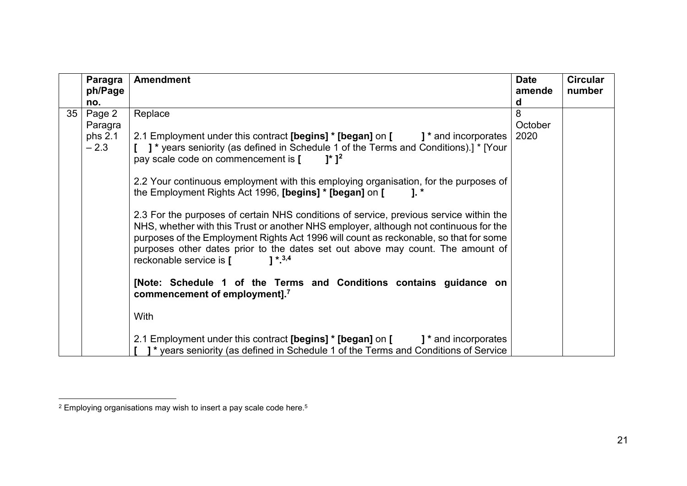<span id="page-20-0"></span>

|    | <b>Paragra</b> | <b>Amendment</b>                                                                                                                                                                                                                                                                                                                                                                                   | <b>Date</b> | <b>Circular</b> |
|----|----------------|----------------------------------------------------------------------------------------------------------------------------------------------------------------------------------------------------------------------------------------------------------------------------------------------------------------------------------------------------------------------------------------------------|-------------|-----------------|
|    | ph/Page        |                                                                                                                                                                                                                                                                                                                                                                                                    | amende      | number          |
|    | no.            |                                                                                                                                                                                                                                                                                                                                                                                                    | d           |                 |
| 35 | Page 2         | Replace                                                                                                                                                                                                                                                                                                                                                                                            | 8           |                 |
|    | Paragra        |                                                                                                                                                                                                                                                                                                                                                                                                    | October     |                 |
|    | phs 2.1        | 2.1 Employment under this contract [begins] * [began] on [<br>1* and incorporates                                                                                                                                                                                                                                                                                                                  | 2020        |                 |
|    | $-2.3$         | [ ] * years seniority (as defined in Schedule 1 of the Terms and Conditions).] * [Your                                                                                                                                                                                                                                                                                                             |             |                 |
|    |                | pay scale code on commencement is [<br>$1^*$ 1 <sup>2</sup>                                                                                                                                                                                                                                                                                                                                        |             |                 |
|    |                | 2.2 Your continuous employment with this employing organisation, for the purposes of                                                                                                                                                                                                                                                                                                               |             |                 |
|    |                | the Employment Rights Act 1996, [begins] * [began] on [<br>$1.*$                                                                                                                                                                                                                                                                                                                                   |             |                 |
|    |                | 2.3 For the purposes of certain NHS conditions of service, previous service within the<br>NHS, whether with this Trust or another NHS employer, although not continuous for the<br>purposes of the Employment Rights Act 1996 will count as reckonable, so that for some<br>purposes other dates prior to the dates set out above may count. The amount of<br>reckonable service is [<br>$1 * 3,4$ |             |                 |
|    |                | [Note: Schedule 1 of the Terms and Conditions contains guidance on<br>commencement of employment]. <sup>7</sup>                                                                                                                                                                                                                                                                                    |             |                 |
|    |                | With                                                                                                                                                                                                                                                                                                                                                                                               |             |                 |
|    |                | 2.1 Employment under this contract [begins] * [began] on [<br>1* and incorporates                                                                                                                                                                                                                                                                                                                  |             |                 |
|    |                | 1* years seniority (as defined in Schedule 1 of the Terms and Conditions of Service                                                                                                                                                                                                                                                                                                                |             |                 |

 $2$  Employing organisations may wish to insert a pay scale code here.<sup>5</sup>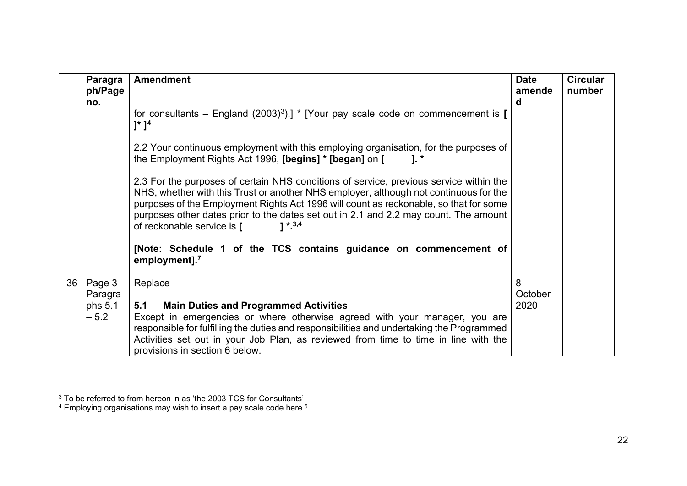<span id="page-21-1"></span><span id="page-21-0"></span>

|    | Paragra<br>ph/Page<br>no.              | <b>Amendment</b>                                                                                                                                                                                                                                                                                                                                                                                            | <b>Date</b><br>amende<br>d | <b>Circular</b><br>number |
|----|----------------------------------------|-------------------------------------------------------------------------------------------------------------------------------------------------------------------------------------------------------------------------------------------------------------------------------------------------------------------------------------------------------------------------------------------------------------|----------------------------|---------------------------|
|    |                                        | for consultants – England (2003) <sup>3</sup> ).] * [Your pay scale code on commencement is [<br>$]^{*}$ $]^{4}$                                                                                                                                                                                                                                                                                            |                            |                           |
|    |                                        | 2.2 Your continuous employment with this employing organisation, for the purposes of<br>the Employment Rights Act 1996, [begins] * [began] on [<br>$1.$ $*$                                                                                                                                                                                                                                                 |                            |                           |
|    |                                        | 2.3 For the purposes of certain NHS conditions of service, previous service within the<br>NHS, whether with this Trust or another NHS employer, although not continuous for the<br>purposes of the Employment Rights Act 1996 will count as reckonable, so that for some<br>purposes other dates prior to the dates set out in 2.1 and 2.2 may count. The amount<br>$1 * 3,4$<br>of reckonable service is [ |                            |                           |
|    |                                        | [Note: Schedule 1 of the TCS contains guidance on commencement of<br>employment]. <sup>7</sup>                                                                                                                                                                                                                                                                                                              |                            |                           |
| 36 | Page 3<br>Paragra<br>phs 5.1<br>$-5.2$ | Replace<br><b>Main Duties and Programmed Activities</b><br>5.1<br>Except in emergencies or where otherwise agreed with your manager, you are<br>responsible for fulfilling the duties and responsibilities and undertaking the Programmed<br>Activities set out in your Job Plan, as reviewed from time to time in line with the<br>provisions in section 6 below.                                          | 8<br>October<br>2020       |                           |

 $^3$  To be referred to from hereon in as 'the 2003 TCS for Consultants'  $\,$ 

 $^{\rm 4}$  Employing organisations may wish to insert a pay scale code here. $^{\rm 5}$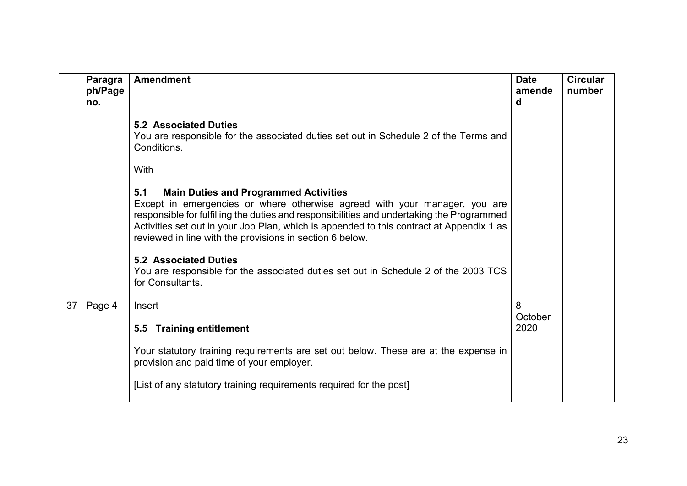|    | Paragra<br>ph/Page<br>no. | <b>Amendment</b>                                                                                                                                                                                                                                                                                                                                                                       | <b>Date</b><br>amende<br>d | <b>Circular</b><br>number |
|----|---------------------------|----------------------------------------------------------------------------------------------------------------------------------------------------------------------------------------------------------------------------------------------------------------------------------------------------------------------------------------------------------------------------------------|----------------------------|---------------------------|
|    |                           | <b>5.2 Associated Duties</b><br>You are responsible for the associated duties set out in Schedule 2 of the Terms and<br>Conditions.                                                                                                                                                                                                                                                    |                            |                           |
|    |                           | With                                                                                                                                                                                                                                                                                                                                                                                   |                            |                           |
|    |                           | 5.1<br><b>Main Duties and Programmed Activities</b><br>Except in emergencies or where otherwise agreed with your manager, you are<br>responsible for fulfilling the duties and responsibilities and undertaking the Programmed<br>Activities set out in your Job Plan, which is appended to this contract at Appendix 1 as<br>reviewed in line with the provisions in section 6 below. |                            |                           |
|    |                           | <b>5.2 Associated Duties</b><br>You are responsible for the associated duties set out in Schedule 2 of the 2003 TCS<br>for Consultants.                                                                                                                                                                                                                                                |                            |                           |
| 37 | Page 4                    | Insert                                                                                                                                                                                                                                                                                                                                                                                 | 8<br>October               |                           |
|    |                           | 5.5 Training entitlement                                                                                                                                                                                                                                                                                                                                                               | 2020                       |                           |
|    |                           | Your statutory training requirements are set out below. These are at the expense in<br>provision and paid time of your employer.                                                                                                                                                                                                                                                       |                            |                           |
|    |                           | [List of any statutory training requirements required for the post]                                                                                                                                                                                                                                                                                                                    |                            |                           |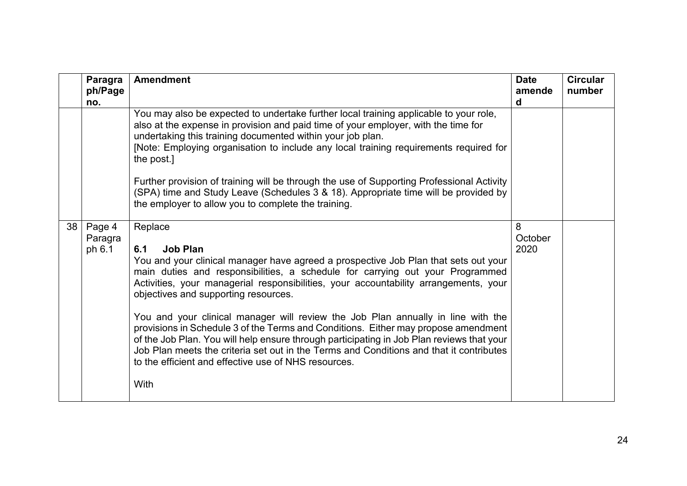|    | Paragra<br>ph/Page<br>no.   | <b>Amendment</b>                                                                                                                                                                                                                                                                                                                                                                                                                                                                                                                                                                                                                                                                                                                                                            | <b>Date</b><br>amende<br>d | <b>Circular</b><br>number |
|----|-----------------------------|-----------------------------------------------------------------------------------------------------------------------------------------------------------------------------------------------------------------------------------------------------------------------------------------------------------------------------------------------------------------------------------------------------------------------------------------------------------------------------------------------------------------------------------------------------------------------------------------------------------------------------------------------------------------------------------------------------------------------------------------------------------------------------|----------------------------|---------------------------|
|    |                             | You may also be expected to undertake further local training applicable to your role,<br>also at the expense in provision and paid time of your employer, with the time for<br>undertaking this training documented within your job plan.<br>[Note: Employing organisation to include any local training requirements required for<br>the post.]                                                                                                                                                                                                                                                                                                                                                                                                                            |                            |                           |
|    |                             | Further provision of training will be through the use of Supporting Professional Activity<br>(SPA) time and Study Leave (Schedules 3 & 18). Appropriate time will be provided by<br>the employer to allow you to complete the training.                                                                                                                                                                                                                                                                                                                                                                                                                                                                                                                                     |                            |                           |
| 38 | Page 4<br>Paragra<br>ph 6.1 | Replace<br><b>Job Plan</b><br>6.1<br>You and your clinical manager have agreed a prospective Job Plan that sets out your<br>main duties and responsibilities, a schedule for carrying out your Programmed<br>Activities, your managerial responsibilities, your accountability arrangements, your<br>objectives and supporting resources.<br>You and your clinical manager will review the Job Plan annually in line with the<br>provisions in Schedule 3 of the Terms and Conditions. Either may propose amendment<br>of the Job Plan. You will help ensure through participating in Job Plan reviews that your<br>Job Plan meets the criteria set out in the Terms and Conditions and that it contributes<br>to the efficient and effective use of NHS resources.<br>With | 8<br>October<br>2020       |                           |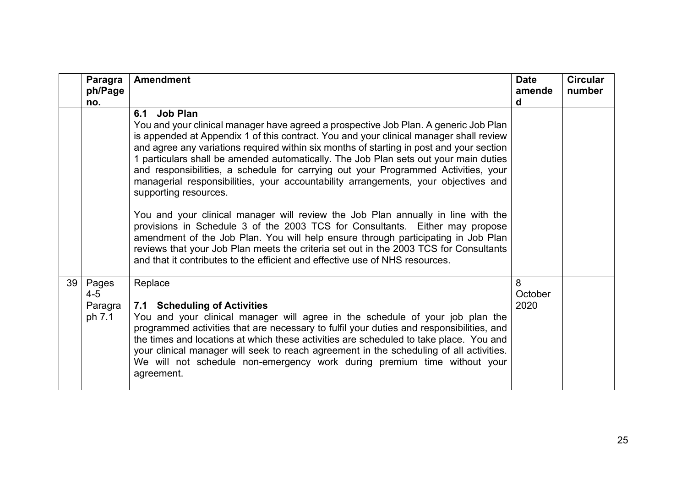|    | Paragra<br>ph/Page<br>no.             | <b>Amendment</b>                                                                                                                                                                                                                                                                                                                                                                                                                                                                                                                                                                           | <b>Date</b><br>amende<br>d | <b>Circular</b><br>number |
|----|---------------------------------------|--------------------------------------------------------------------------------------------------------------------------------------------------------------------------------------------------------------------------------------------------------------------------------------------------------------------------------------------------------------------------------------------------------------------------------------------------------------------------------------------------------------------------------------------------------------------------------------------|----------------------------|---------------------------|
|    |                                       | Job Plan<br>6.1<br>You and your clinical manager have agreed a prospective Job Plan. A generic Job Plan<br>is appended at Appendix 1 of this contract. You and your clinical manager shall review<br>and agree any variations required within six months of starting in post and your section<br>1 particulars shall be amended automatically. The Job Plan sets out your main duties<br>and responsibilities, a schedule for carrying out your Programmed Activities, your<br>managerial responsibilities, your accountability arrangements, your objectives and<br>supporting resources. |                            |                           |
|    |                                       | You and your clinical manager will review the Job Plan annually in line with the<br>provisions in Schedule 3 of the 2003 TCS for Consultants. Either may propose<br>amendment of the Job Plan. You will help ensure through participating in Job Plan<br>reviews that your Job Plan meets the criteria set out in the 2003 TCS for Consultants<br>and that it contributes to the efficient and effective use of NHS resources.                                                                                                                                                             |                            |                           |
| 39 | Pages<br>$4 - 5$<br>Paragra<br>ph 7.1 | Replace<br>7.1 Scheduling of Activities<br>You and your clinical manager will agree in the schedule of your job plan the<br>programmed activities that are necessary to fulfil your duties and responsibilities, and<br>the times and locations at which these activities are scheduled to take place. You and<br>your clinical manager will seek to reach agreement in the scheduling of all activities.<br>We will not schedule non-emergency work during premium time without your<br>agreement.                                                                                        | 8<br>October<br>2020       |                           |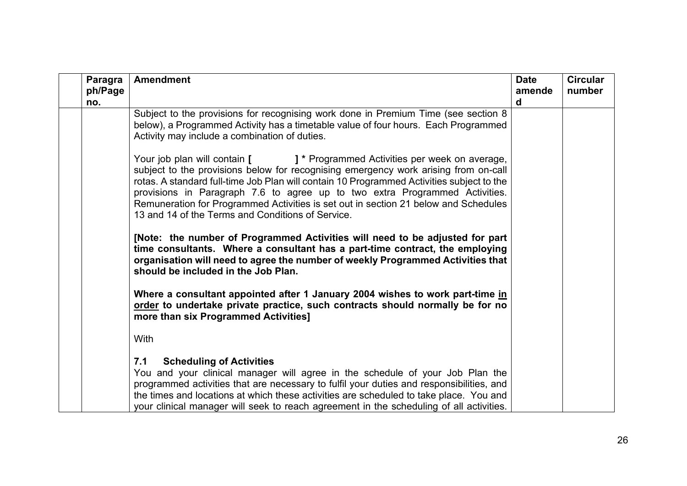| Paragra<br>ph/Page<br>no. | <b>Amendment</b>                                                                                                                                                                                                                                                                                                                                                                                                                                                                           | <b>Date</b><br>amende<br>d | <b>Circular</b><br>number |
|---------------------------|--------------------------------------------------------------------------------------------------------------------------------------------------------------------------------------------------------------------------------------------------------------------------------------------------------------------------------------------------------------------------------------------------------------------------------------------------------------------------------------------|----------------------------|---------------------------|
|                           | Subject to the provisions for recognising work done in Premium Time (see section 8<br>below), a Programmed Activity has a timetable value of four hours. Each Programmed<br>Activity may include a combination of duties.                                                                                                                                                                                                                                                                  |                            |                           |
|                           | Your job plan will contain [ ] * Programmed Activities per week on average,<br>subject to the provisions below for recognising emergency work arising from on-call<br>rotas. A standard full-time Job Plan will contain 10 Programmed Activities subject to the<br>provisions in Paragraph 7.6 to agree up to two extra Programmed Activities.<br>Remuneration for Programmed Activities is set out in section 21 below and Schedules<br>13 and 14 of the Terms and Conditions of Service. |                            |                           |
|                           | [Note: the number of Programmed Activities will need to be adjusted for part<br>time consultants. Where a consultant has a part-time contract, the employing<br>organisation will need to agree the number of weekly Programmed Activities that<br>should be included in the Job Plan.                                                                                                                                                                                                     |                            |                           |
|                           | Where a consultant appointed after 1 January 2004 wishes to work part-time in<br>order to undertake private practice, such contracts should normally be for no<br>more than six Programmed Activities]                                                                                                                                                                                                                                                                                     |                            |                           |
|                           | With                                                                                                                                                                                                                                                                                                                                                                                                                                                                                       |                            |                           |
|                           | <b>Scheduling of Activities</b><br>7.1<br>You and your clinical manager will agree in the schedule of your Job Plan the<br>programmed activities that are necessary to fulfil your duties and responsibilities, and<br>the times and locations at which these activities are scheduled to take place. You and<br>your clinical manager will seek to reach agreement in the scheduling of all activities.                                                                                   |                            |                           |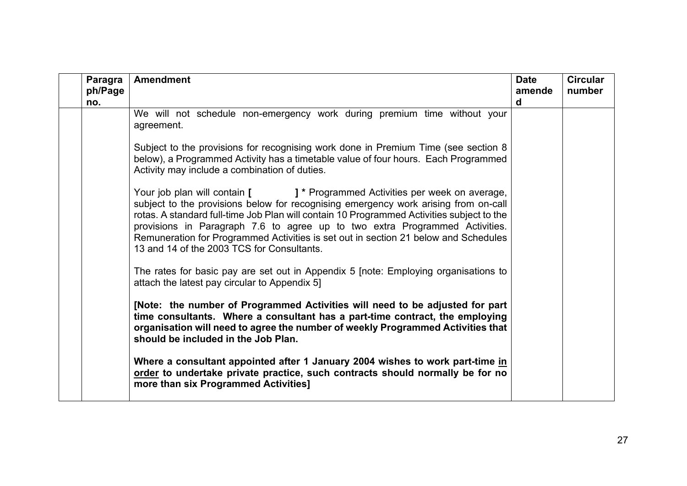| Paragra<br>ph/Page<br>no. | <b>Amendment</b>                                                                                                                                                                                                                                                                                                                                                                                                                                                                    | <b>Date</b><br>amende<br>d | <b>Circular</b><br>number |
|---------------------------|-------------------------------------------------------------------------------------------------------------------------------------------------------------------------------------------------------------------------------------------------------------------------------------------------------------------------------------------------------------------------------------------------------------------------------------------------------------------------------------|----------------------------|---------------------------|
|                           | We will not schedule non-emergency work during premium time without your<br>agreement.                                                                                                                                                                                                                                                                                                                                                                                              |                            |                           |
|                           | Subject to the provisions for recognising work done in Premium Time (see section 8<br>below), a Programmed Activity has a timetable value of four hours. Each Programmed<br>Activity may include a combination of duties.                                                                                                                                                                                                                                                           |                            |                           |
|                           | Your job plan will contain [ ] * Programmed Activities per week on average,<br>subject to the provisions below for recognising emergency work arising from on-call<br>rotas. A standard full-time Job Plan will contain 10 Programmed Activities subject to the<br>provisions in Paragraph 7.6 to agree up to two extra Programmed Activities.<br>Remuneration for Programmed Activities is set out in section 21 below and Schedules<br>13 and 14 of the 2003 TCS for Consultants. |                            |                           |
|                           | The rates for basic pay are set out in Appendix 5 [note: Employing organisations to<br>attach the latest pay circular to Appendix 5]                                                                                                                                                                                                                                                                                                                                                |                            |                           |
|                           | [Note: the number of Programmed Activities will need to be adjusted for part<br>time consultants. Where a consultant has a part-time contract, the employing<br>organisation will need to agree the number of weekly Programmed Activities that<br>should be included in the Job Plan.                                                                                                                                                                                              |                            |                           |
|                           | Where a consultant appointed after 1 January 2004 wishes to work part-time in<br>order to undertake private practice, such contracts should normally be for no<br>more than six Programmed Activities]                                                                                                                                                                                                                                                                              |                            |                           |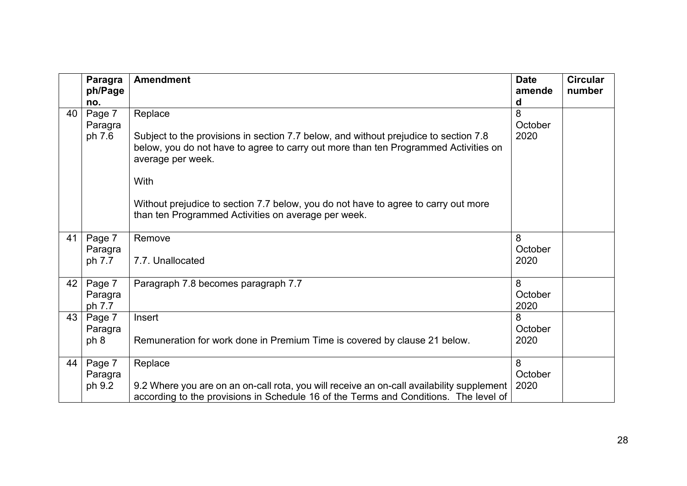|    | Paragra<br>ph/Page          | <b>Amendment</b>                                                                                                                                                                                                                                                                                                                                                 | <b>Date</b><br>amende | <b>Circular</b><br>number |
|----|-----------------------------|------------------------------------------------------------------------------------------------------------------------------------------------------------------------------------------------------------------------------------------------------------------------------------------------------------------------------------------------------------------|-----------------------|---------------------------|
|    | no.                         |                                                                                                                                                                                                                                                                                                                                                                  | d                     |                           |
| 40 | Page 7<br>Paragra<br>ph 7.6 | Replace<br>Subject to the provisions in section 7.7 below, and without prejudice to section 7.8<br>below, you do not have to agree to carry out more than ten Programmed Activities on<br>average per week.<br>With<br>Without prejudice to section 7.7 below, you do not have to agree to carry out more<br>than ten Programmed Activities on average per week. | 8<br>October<br>2020  |                           |
| 41 | Page 7<br>Paragra<br>ph 7.7 | Remove<br>7.7. Unallocated                                                                                                                                                                                                                                                                                                                                       | 8<br>October<br>2020  |                           |
| 42 | Page 7<br>Paragra<br>ph 7.7 | Paragraph 7.8 becomes paragraph 7.7                                                                                                                                                                                                                                                                                                                              | 8<br>October<br>2020  |                           |
| 43 | Page 7<br>Paragra<br>ph 8   | Insert<br>Remuneration for work done in Premium Time is covered by clause 21 below.                                                                                                                                                                                                                                                                              | 8<br>October<br>2020  |                           |
| 44 | Page 7<br>Paragra<br>ph 9.2 | Replace<br>9.2 Where you are on an on-call rota, you will receive an on-call availability supplement<br>according to the provisions in Schedule 16 of the Terms and Conditions. The level of                                                                                                                                                                     | 8<br>October<br>2020  |                           |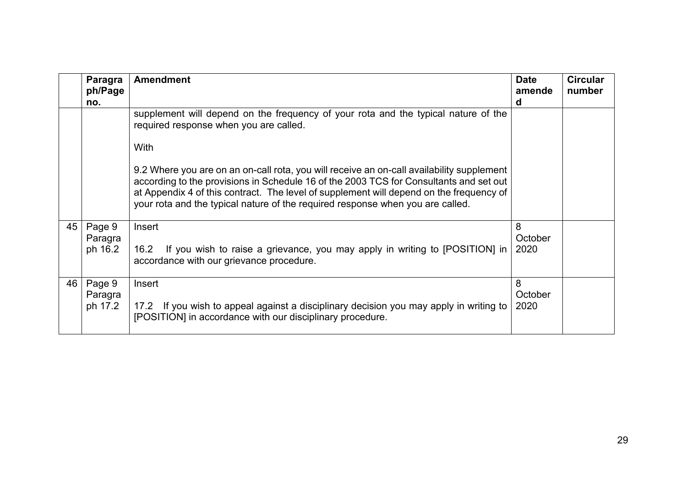|    | Paragra<br>ph/Page<br>no. | <b>Amendment</b>                                                                                                                                                                                                                                                                                                                                                 | <b>Date</b><br>amende<br>d | <b>Circular</b><br>number |
|----|---------------------------|------------------------------------------------------------------------------------------------------------------------------------------------------------------------------------------------------------------------------------------------------------------------------------------------------------------------------------------------------------------|----------------------------|---------------------------|
|    |                           | supplement will depend on the frequency of your rota and the typical nature of the<br>required response when you are called.                                                                                                                                                                                                                                     |                            |                           |
|    |                           | With                                                                                                                                                                                                                                                                                                                                                             |                            |                           |
|    |                           | 9.2 Where you are on an on-call rota, you will receive an on-call availability supplement<br>according to the provisions in Schedule 16 of the 2003 TCS for Consultants and set out<br>at Appendix 4 of this contract. The level of supplement will depend on the frequency of<br>your rota and the typical nature of the required response when you are called. |                            |                           |
| 45 | Page 9<br>Paragra         | Insert                                                                                                                                                                                                                                                                                                                                                           | 8<br>October               |                           |
|    | ph 16.2                   | If you wish to raise a grievance, you may apply in writing to [POSITION] in<br>16.2<br>accordance with our grievance procedure.                                                                                                                                                                                                                                  | 2020                       |                           |
| 46 | Page 9<br>Paragra         | Insert                                                                                                                                                                                                                                                                                                                                                           | 8<br>October               |                           |
|    | ph 17.2                   | 17.2 If you wish to appeal against a disciplinary decision you may apply in writing to<br>[POSITION] in accordance with our disciplinary procedure.                                                                                                                                                                                                              | 2020                       |                           |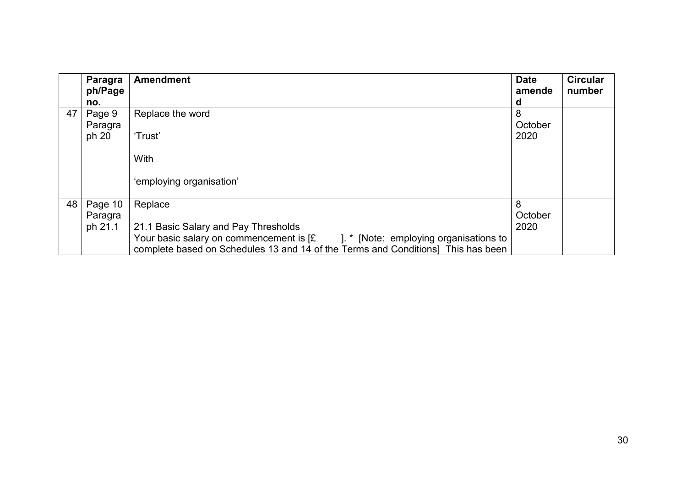|    | Paragra<br>ph/Page | <b>Amendment</b>                                                                                                                                                       | <b>Date</b><br>amende | <b>Circular</b><br>number |
|----|--------------------|------------------------------------------------------------------------------------------------------------------------------------------------------------------------|-----------------------|---------------------------|
|    | no.                |                                                                                                                                                                        | d                     |                           |
| 47 | Page 9             | Replace the word                                                                                                                                                       | 8                     |                           |
|    | Paragra            |                                                                                                                                                                        | October               |                           |
|    | ph 20              | 'Trust'                                                                                                                                                                | 2020                  |                           |
|    |                    |                                                                                                                                                                        |                       |                           |
|    |                    | With                                                                                                                                                                   |                       |                           |
|    |                    | 'employing organisation'                                                                                                                                               |                       |                           |
| 48 | Page 10            | Replace                                                                                                                                                                | 8                     |                           |
|    | Paragra            |                                                                                                                                                                        | October               |                           |
|    | ph 21.1            | 21.1 Basic Salary and Pay Thresholds                                                                                                                                   | 2020                  |                           |
|    |                    | Your basic salary on commencement is [£]<br>1. * [Note: employing organisations to<br>complete based on Schedules 13 and 14 of the Terms and Conditions] This has been |                       |                           |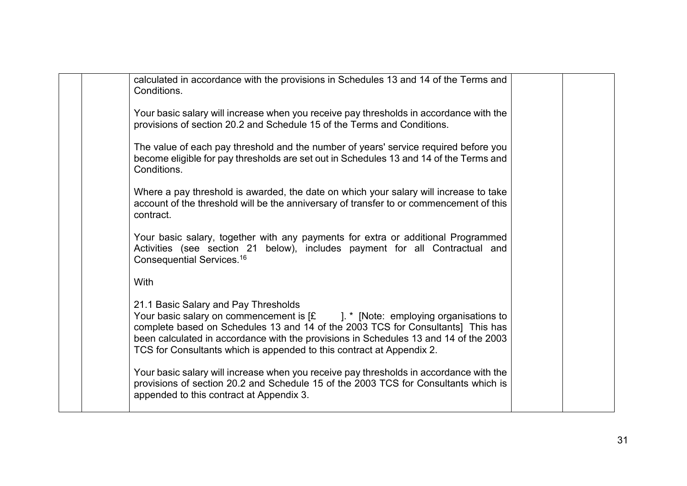| calculated in accordance with the provisions in Schedules 13 and 14 of the Terms and<br>Conditions.                                                                                                                                                                                                                                                                                    |  |
|----------------------------------------------------------------------------------------------------------------------------------------------------------------------------------------------------------------------------------------------------------------------------------------------------------------------------------------------------------------------------------------|--|
| Your basic salary will increase when you receive pay thresholds in accordance with the<br>provisions of section 20.2 and Schedule 15 of the Terms and Conditions.                                                                                                                                                                                                                      |  |
| The value of each pay threshold and the number of years' service required before you<br>become eligible for pay thresholds are set out in Schedules 13 and 14 of the Terms and<br>Conditions.                                                                                                                                                                                          |  |
| Where a pay threshold is awarded, the date on which your salary will increase to take<br>account of the threshold will be the anniversary of transfer to or commencement of this<br>contract.                                                                                                                                                                                          |  |
| Your basic salary, together with any payments for extra or additional Programmed<br>Activities (see section 21 below), includes payment for all Contractual and<br>Consequential Services. <sup>16</sup>                                                                                                                                                                               |  |
| With                                                                                                                                                                                                                                                                                                                                                                                   |  |
| 21.1 Basic Salary and Pay Thresholds<br>Your basic salary on commencement is $[\pounds] \pounds [Note: employing organizations to$<br>complete based on Schedules 13 and 14 of the 2003 TCS for Consultants] This has<br>been calculated in accordance with the provisions in Schedules 13 and 14 of the 2003<br>TCS for Consultants which is appended to this contract at Appendix 2. |  |
| Your basic salary will increase when you receive pay thresholds in accordance with the<br>provisions of section 20.2 and Schedule 15 of the 2003 TCS for Consultants which is<br>appended to this contract at Appendix 3.                                                                                                                                                              |  |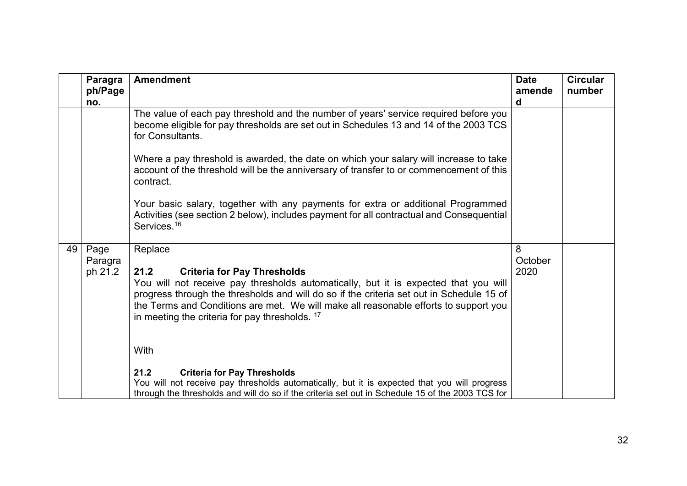|    | Paragra<br>ph/Page<br>no.  | <b>Amendment</b>                                                                                                                                                                                                                                                                                                                                                                              | <b>Date</b><br>amende<br>d | <b>Circular</b><br>number |
|----|----------------------------|-----------------------------------------------------------------------------------------------------------------------------------------------------------------------------------------------------------------------------------------------------------------------------------------------------------------------------------------------------------------------------------------------|----------------------------|---------------------------|
|    |                            | The value of each pay threshold and the number of years' service required before you<br>become eligible for pay thresholds are set out in Schedules 13 and 14 of the 2003 TCS<br>for Consultants.                                                                                                                                                                                             |                            |                           |
|    |                            | Where a pay threshold is awarded, the date on which your salary will increase to take<br>account of the threshold will be the anniversary of transfer to or commencement of this<br>contract.                                                                                                                                                                                                 |                            |                           |
|    |                            | Your basic salary, together with any payments for extra or additional Programmed<br>Activities (see section 2 below), includes payment for all contractual and Consequential<br>Services. <sup>16</sup>                                                                                                                                                                                       |                            |                           |
| 49 | Page<br>Paragra<br>ph 21.2 | Replace<br><b>Criteria for Pay Thresholds</b><br>21.2<br>You will not receive pay thresholds automatically, but it is expected that you will<br>progress through the thresholds and will do so if the criteria set out in Schedule 15 of<br>the Terms and Conditions are met. We will make all reasonable efforts to support you<br>in meeting the criteria for pay thresholds. <sup>17</sup> | 8<br>October<br>2020       |                           |
|    |                            | With<br>21.2<br><b>Criteria for Pay Thresholds</b><br>You will not receive pay thresholds automatically, but it is expected that you will progress<br>through the thresholds and will do so if the criteria set out in Schedule 15 of the 2003 TCS for                                                                                                                                        |                            |                           |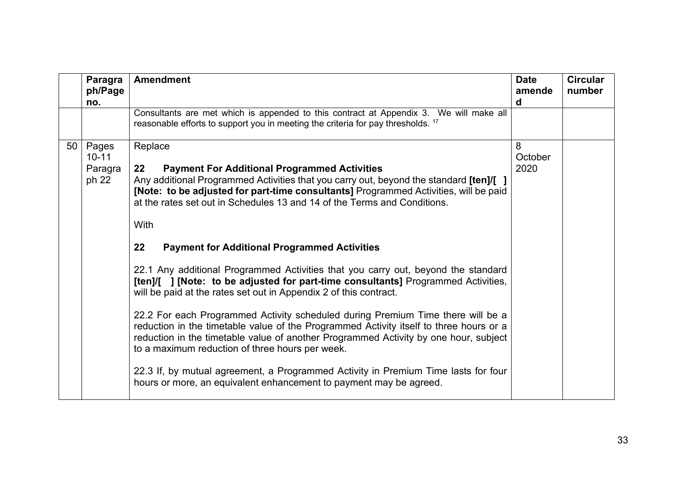|    | Paragra<br>ph/Page<br>no.              | <b>Amendment</b>                                                                                                                                                                                                                                                                                                                                                                                                                                                                                                                                                                                                                                                                                                                                                                                                                                                                                                                                                                                                                                                                                                                          | <b>Date</b><br>amende<br>d | <b>Circular</b><br>number |
|----|----------------------------------------|-------------------------------------------------------------------------------------------------------------------------------------------------------------------------------------------------------------------------------------------------------------------------------------------------------------------------------------------------------------------------------------------------------------------------------------------------------------------------------------------------------------------------------------------------------------------------------------------------------------------------------------------------------------------------------------------------------------------------------------------------------------------------------------------------------------------------------------------------------------------------------------------------------------------------------------------------------------------------------------------------------------------------------------------------------------------------------------------------------------------------------------------|----------------------------|---------------------------|
|    |                                        | Consultants are met which is appended to this contract at Appendix 3. We will make all<br>reasonable efforts to support you in meeting the criteria for pay thresholds. <sup>17</sup>                                                                                                                                                                                                                                                                                                                                                                                                                                                                                                                                                                                                                                                                                                                                                                                                                                                                                                                                                     |                            |                           |
| 50 | Pages<br>$10 - 11$<br>Paragra<br>ph 22 | Replace<br><b>Payment For Additional Programmed Activities</b><br>22<br>Any additional Programmed Activities that you carry out, beyond the standard [ten]/[]<br>[Note: to be adjusted for part-time consultants] Programmed Activities, will be paid<br>at the rates set out in Schedules 13 and 14 of the Terms and Conditions.<br>With<br><b>Payment for Additional Programmed Activities</b><br>22<br>22.1 Any additional Programmed Activities that you carry out, beyond the standard<br>[ten]/[ ] [Note: to be adjusted for part-time consultants] Programmed Activities,<br>will be paid at the rates set out in Appendix 2 of this contract.<br>22.2 For each Programmed Activity scheduled during Premium Time there will be a<br>reduction in the timetable value of the Programmed Activity itself to three hours or a<br>reduction in the timetable value of another Programmed Activity by one hour, subject<br>to a maximum reduction of three hours per week.<br>22.3 If, by mutual agreement, a Programmed Activity in Premium Time lasts for four<br>hours or more, an equivalent enhancement to payment may be agreed. | 8<br>October<br>2020       |                           |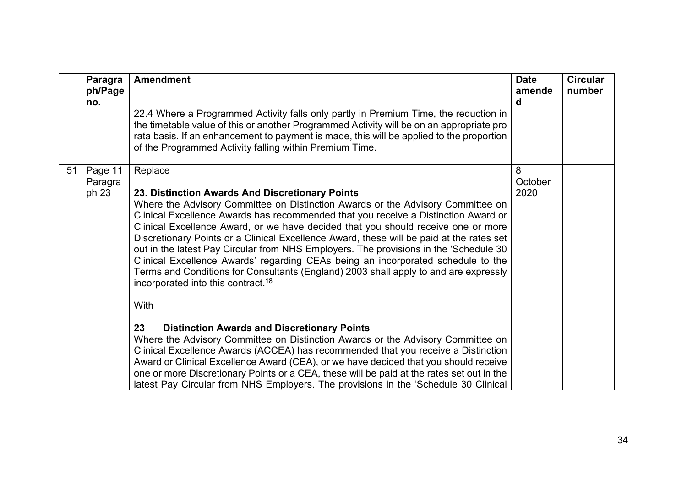|    | <b>Paragra</b><br>ph/Page<br>no. | <b>Amendment</b>                                                                                                                                                                                                                                                                                                                                                                                                                                                                                                                                                                                                                                                                                                                                                                                                                                                                                                                                                                                                                                                                | <b>Date</b><br>amende<br>d | <b>Circular</b><br>number |
|----|----------------------------------|---------------------------------------------------------------------------------------------------------------------------------------------------------------------------------------------------------------------------------------------------------------------------------------------------------------------------------------------------------------------------------------------------------------------------------------------------------------------------------------------------------------------------------------------------------------------------------------------------------------------------------------------------------------------------------------------------------------------------------------------------------------------------------------------------------------------------------------------------------------------------------------------------------------------------------------------------------------------------------------------------------------------------------------------------------------------------------|----------------------------|---------------------------|
|    |                                  | 22.4 Where a Programmed Activity falls only partly in Premium Time, the reduction in<br>the timetable value of this or another Programmed Activity will be on an appropriate pro<br>rata basis. If an enhancement to payment is made, this will be applied to the proportion<br>of the Programmed Activity falling within Premium Time.                                                                                                                                                                                                                                                                                                                                                                                                                                                                                                                                                                                                                                                                                                                                         |                            |                           |
| 51 | Page 11<br>Paragra<br>ph 23      | Replace<br>23. Distinction Awards And Discretionary Points<br>Where the Advisory Committee on Distinction Awards or the Advisory Committee on<br>Clinical Excellence Awards has recommended that you receive a Distinction Award or<br>Clinical Excellence Award, or we have decided that you should receive one or more<br>Discretionary Points or a Clinical Excellence Award, these will be paid at the rates set<br>out in the latest Pay Circular from NHS Employers. The provisions in the 'Schedule 30<br>Clinical Excellence Awards' regarding CEAs being an incorporated schedule to the<br>Terms and Conditions for Consultants (England) 2003 shall apply to and are expressly<br>incorporated into this contract. <sup>18</sup><br>With<br><b>Distinction Awards and Discretionary Points</b><br>23<br>Where the Advisory Committee on Distinction Awards or the Advisory Committee on<br>Clinical Excellence Awards (ACCEA) has recommended that you receive a Distinction<br>Award or Clinical Excellence Award (CEA), or we have decided that you should receive | 8<br>October<br>2020       |                           |
|    |                                  | one or more Discretionary Points or a CEA, these will be paid at the rates set out in the<br>latest Pay Circular from NHS Employers. The provisions in the 'Schedule 30 Clinical                                                                                                                                                                                                                                                                                                                                                                                                                                                                                                                                                                                                                                                                                                                                                                                                                                                                                                |                            |                           |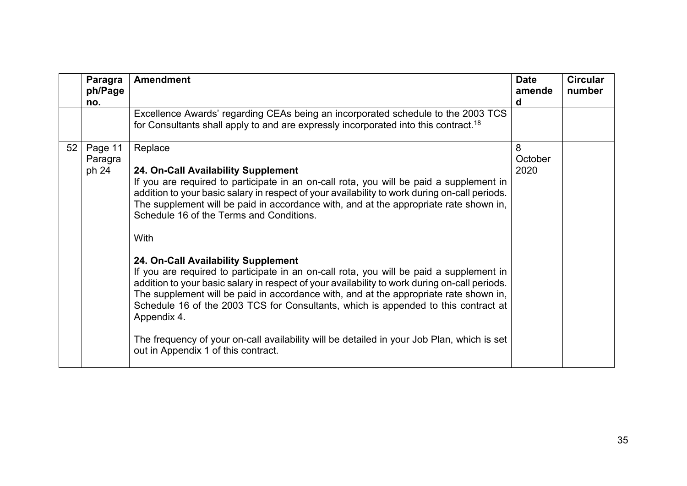|    | Paragra<br>ph/Page<br>no.   | <b>Amendment</b>                                                                                                                                                                                                                                                                                                                                                                                                                                                                                                                                                                                                                                                                                                                                                                                                                                                                                                                                              | <b>Date</b><br>amende<br>d | <b>Circular</b><br>number |
|----|-----------------------------|---------------------------------------------------------------------------------------------------------------------------------------------------------------------------------------------------------------------------------------------------------------------------------------------------------------------------------------------------------------------------------------------------------------------------------------------------------------------------------------------------------------------------------------------------------------------------------------------------------------------------------------------------------------------------------------------------------------------------------------------------------------------------------------------------------------------------------------------------------------------------------------------------------------------------------------------------------------|----------------------------|---------------------------|
|    |                             | Excellence Awards' regarding CEAs being an incorporated schedule to the 2003 TCS<br>for Consultants shall apply to and are expressly incorporated into this contract. <sup>18</sup>                                                                                                                                                                                                                                                                                                                                                                                                                                                                                                                                                                                                                                                                                                                                                                           |                            |                           |
| 52 | Page 11<br>Paragra<br>ph 24 | Replace<br>24. On-Call Availability Supplement<br>If you are required to participate in an on-call rota, you will be paid a supplement in<br>addition to your basic salary in respect of your availability to work during on-call periods.<br>The supplement will be paid in accordance with, and at the appropriate rate shown in,<br>Schedule 16 of the Terms and Conditions.<br>With<br>24. On-Call Availability Supplement<br>If you are required to participate in an on-call rota, you will be paid a supplement in<br>addition to your basic salary in respect of your availability to work during on-call periods.<br>The supplement will be paid in accordance with, and at the appropriate rate shown in,<br>Schedule 16 of the 2003 TCS for Consultants, which is appended to this contract at<br>Appendix 4.<br>The frequency of your on-call availability will be detailed in your Job Plan, which is set<br>out in Appendix 1 of this contract. | 8<br>October<br>2020       |                           |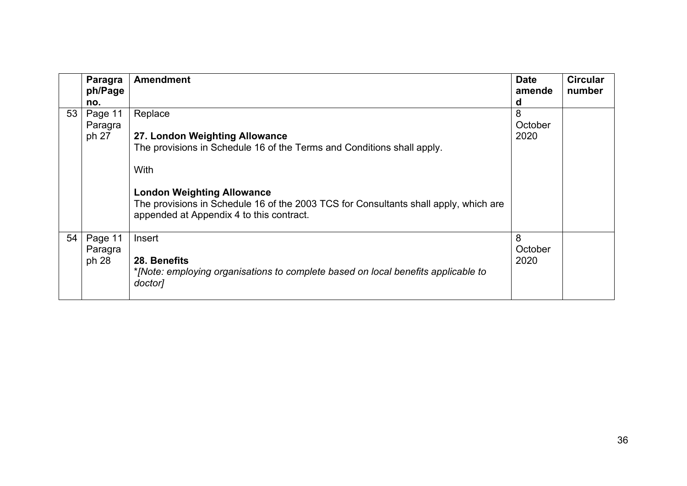|    | Paragra<br>ph/Page | <b>Amendment</b>                                                                                                                                                      | <b>Date</b><br>amende | <b>Circular</b><br>number |
|----|--------------------|-----------------------------------------------------------------------------------------------------------------------------------------------------------------------|-----------------------|---------------------------|
|    | no.                |                                                                                                                                                                       | d                     |                           |
| 53 | Page 11            | Replace                                                                                                                                                               | 8                     |                           |
|    | Paragra            |                                                                                                                                                                       | October               |                           |
|    | ph 27              | 27. London Weighting Allowance                                                                                                                                        | 2020                  |                           |
|    |                    | The provisions in Schedule 16 of the Terms and Conditions shall apply.                                                                                                |                       |                           |
|    |                    | With                                                                                                                                                                  |                       |                           |
|    |                    | <b>London Weighting Allowance</b><br>The provisions in Schedule 16 of the 2003 TCS for Consultants shall apply, which are<br>appended at Appendix 4 to this contract. |                       |                           |
| 54 | Page 11            | Insert                                                                                                                                                                | 8                     |                           |
|    | Paragra            |                                                                                                                                                                       | October               |                           |
|    | ph 28              | 28. Benefits                                                                                                                                                          | 2020                  |                           |
|    |                    | *[Note: employing organisations to complete based on local benefits applicable to<br>doctor]                                                                          |                       |                           |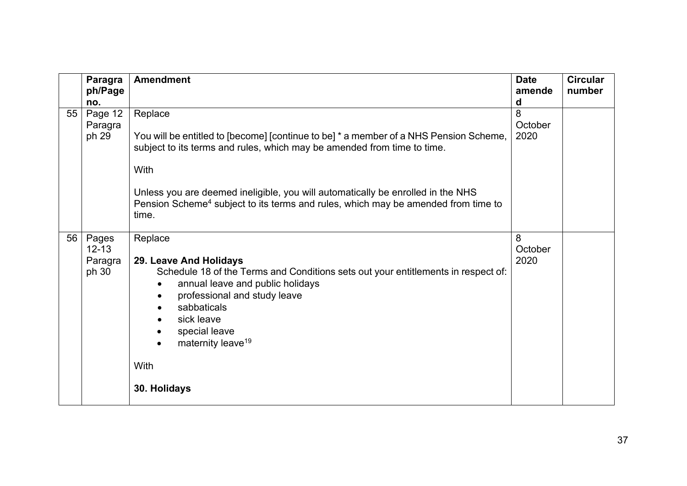|    | <b>Paragra</b><br>ph/Page<br>no.       | <b>Amendment</b>                                                                                                                                                                                                                                                                                                                                                                 | <b>Date</b><br>amende<br>d | <b>Circular</b><br>number |
|----|----------------------------------------|----------------------------------------------------------------------------------------------------------------------------------------------------------------------------------------------------------------------------------------------------------------------------------------------------------------------------------------------------------------------------------|----------------------------|---------------------------|
| 55 | Page 12<br>Paragra<br>ph 29            | Replace<br>You will be entitled to [become] [continue to be] * a member of a NHS Pension Scheme,<br>subject to its terms and rules, which may be amended from time to time.<br>With<br>Unless you are deemed ineligible, you will automatically be enrolled in the NHS<br>Pension Scheme <sup>4</sup> subject to its terms and rules, which may be amended from time to<br>time. | 8<br>October<br>2020       |                           |
| 56 | Pages<br>$12 - 13$<br>Paragra<br>ph 30 | Replace<br>29. Leave And Holidays<br>Schedule 18 of the Terms and Conditions sets out your entitlements in respect of:<br>annual leave and public holidays<br>professional and study leave<br>$\bullet$<br>sabbaticals<br>sick leave<br>special leave<br>$\bullet$<br>maternity leave <sup>19</sup><br>With<br>30. Holidays                                                      | 8<br>October<br>2020       |                           |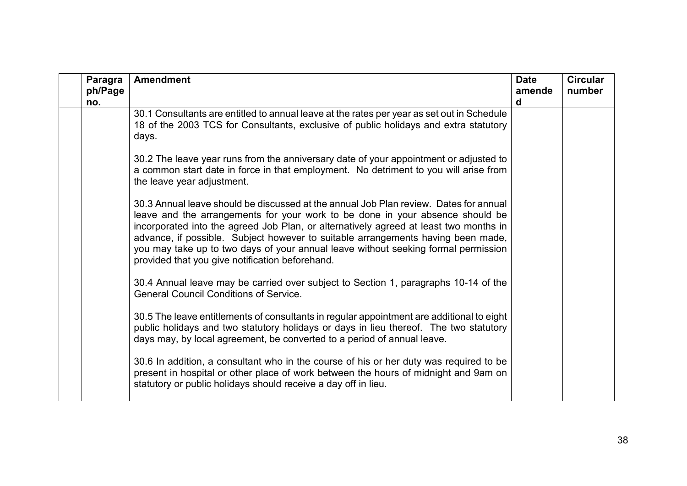| Paragra<br>ph/Page<br>no. | <b>Amendment</b>                                                                                                                                                                                                                                                                                                                                                                                                                                                                             | <b>Date</b><br>amende<br>d | <b>Circular</b><br>number |
|---------------------------|----------------------------------------------------------------------------------------------------------------------------------------------------------------------------------------------------------------------------------------------------------------------------------------------------------------------------------------------------------------------------------------------------------------------------------------------------------------------------------------------|----------------------------|---------------------------|
|                           | 30.1 Consultants are entitled to annual leave at the rates per year as set out in Schedule<br>18 of the 2003 TCS for Consultants, exclusive of public holidays and extra statutory<br>days.                                                                                                                                                                                                                                                                                                  |                            |                           |
|                           | 30.2 The leave year runs from the anniversary date of your appointment or adjusted to<br>a common start date in force in that employment. No detriment to you will arise from<br>the leave year adjustment.                                                                                                                                                                                                                                                                                  |                            |                           |
|                           | 30.3 Annual leave should be discussed at the annual Job Plan review. Dates for annual<br>leave and the arrangements for your work to be done in your absence should be<br>incorporated into the agreed Job Plan, or alternatively agreed at least two months in<br>advance, if possible. Subject however to suitable arrangements having been made,<br>you may take up to two days of your annual leave without seeking formal permission<br>provided that you give notification beforehand. |                            |                           |
|                           | 30.4 Annual leave may be carried over subject to Section 1, paragraphs 10-14 of the<br><b>General Council Conditions of Service.</b>                                                                                                                                                                                                                                                                                                                                                         |                            |                           |
|                           | 30.5 The leave entitlements of consultants in regular appointment are additional to eight<br>public holidays and two statutory holidays or days in lieu thereof. The two statutory<br>days may, by local agreement, be converted to a period of annual leave.                                                                                                                                                                                                                                |                            |                           |
|                           | 30.6 In addition, a consultant who in the course of his or her duty was required to be<br>present in hospital or other place of work between the hours of midnight and 9am on<br>statutory or public holidays should receive a day off in lieu.                                                                                                                                                                                                                                              |                            |                           |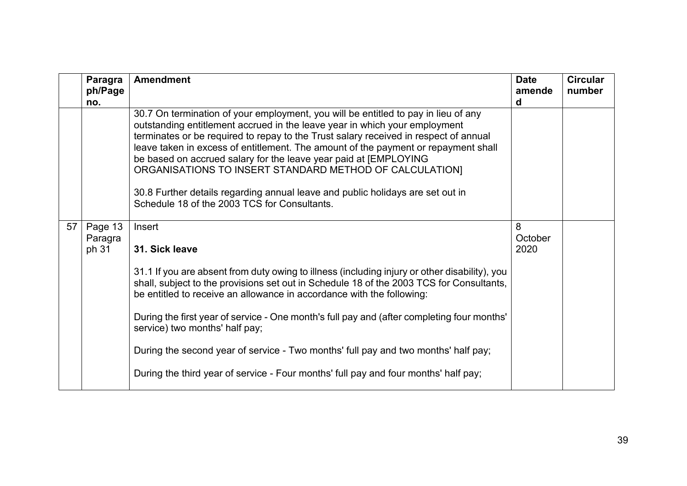|    | Paragra<br>ph/Page<br>no.   | <b>Amendment</b>                                                                                                                                                                                                                                                                                                                                                                                                                                                                                                                                                                                                | <b>Date</b><br>amende<br>d | <b>Circular</b><br>number |
|----|-----------------------------|-----------------------------------------------------------------------------------------------------------------------------------------------------------------------------------------------------------------------------------------------------------------------------------------------------------------------------------------------------------------------------------------------------------------------------------------------------------------------------------------------------------------------------------------------------------------------------------------------------------------|----------------------------|---------------------------|
|    |                             | 30.7 On termination of your employment, you will be entitled to pay in lieu of any<br>outstanding entitlement accrued in the leave year in which your employment<br>terminates or be required to repay to the Trust salary received in respect of annual<br>leave taken in excess of entitlement. The amount of the payment or repayment shall<br>be based on accrued salary for the leave year paid at [EMPLOYING<br>ORGANISATIONS TO INSERT STANDARD METHOD OF CALCULATION]<br>30.8 Further details regarding annual leave and public holidays are set out in<br>Schedule 18 of the 2003 TCS for Consultants. |                            |                           |
| 57 | Page 13<br>Paragra<br>ph 31 | Insert<br>31. Sick leave                                                                                                                                                                                                                                                                                                                                                                                                                                                                                                                                                                                        | 8<br>October<br>2020       |                           |
|    |                             | 31.1 If you are absent from duty owing to illness (including injury or other disability), you<br>shall, subject to the provisions set out in Schedule 18 of the 2003 TCS for Consultants,<br>be entitled to receive an allowance in accordance with the following:                                                                                                                                                                                                                                                                                                                                              |                            |                           |
|    |                             | During the first year of service - One month's full pay and (after completing four months'<br>service) two months' half pay;                                                                                                                                                                                                                                                                                                                                                                                                                                                                                    |                            |                           |
|    |                             | During the second year of service - Two months' full pay and two months' half pay;                                                                                                                                                                                                                                                                                                                                                                                                                                                                                                                              |                            |                           |
|    |                             | During the third year of service - Four months' full pay and four months' half pay;                                                                                                                                                                                                                                                                                                                                                                                                                                                                                                                             |                            |                           |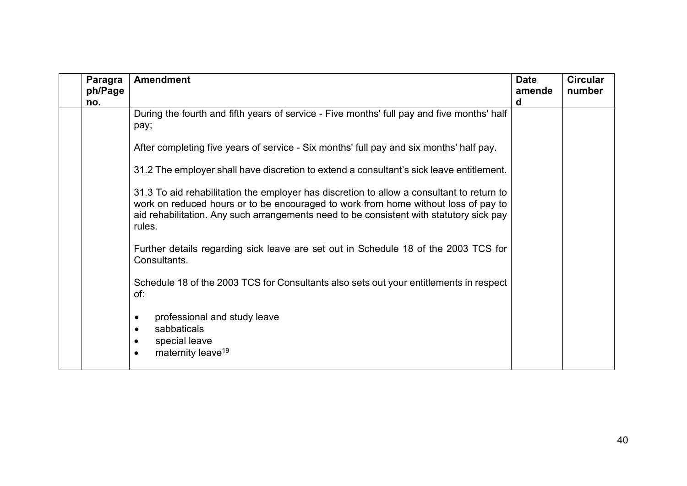| Paragra<br>ph/Page | <b>Amendment</b>                                                                                                                                                                                                                                                                     | <b>Date</b><br>amende | <b>Circular</b><br>number |
|--------------------|--------------------------------------------------------------------------------------------------------------------------------------------------------------------------------------------------------------------------------------------------------------------------------------|-----------------------|---------------------------|
| no.                |                                                                                                                                                                                                                                                                                      | d                     |                           |
|                    | During the fourth and fifth years of service - Five months' full pay and five months' half<br>pay;                                                                                                                                                                                   |                       |                           |
|                    | After completing five years of service - Six months' full pay and six months' half pay.                                                                                                                                                                                              |                       |                           |
|                    | 31.2 The employer shall have discretion to extend a consultant's sick leave entitlement.                                                                                                                                                                                             |                       |                           |
|                    | 31.3 To aid rehabilitation the employer has discretion to allow a consultant to return to<br>work on reduced hours or to be encouraged to work from home without loss of pay to<br>aid rehabilitation. Any such arrangements need to be consistent with statutory sick pay<br>rules. |                       |                           |
|                    | Further details regarding sick leave are set out in Schedule 18 of the 2003 TCS for<br>Consultants.                                                                                                                                                                                  |                       |                           |
|                    | Schedule 18 of the 2003 TCS for Consultants also sets out your entitlements in respect<br>of:                                                                                                                                                                                        |                       |                           |
|                    | professional and study leave<br>$\bullet$<br>sabbaticals<br>$\bullet$<br>special leave<br>maternity leave <sup>19</sup><br>$\bullet$                                                                                                                                                 |                       |                           |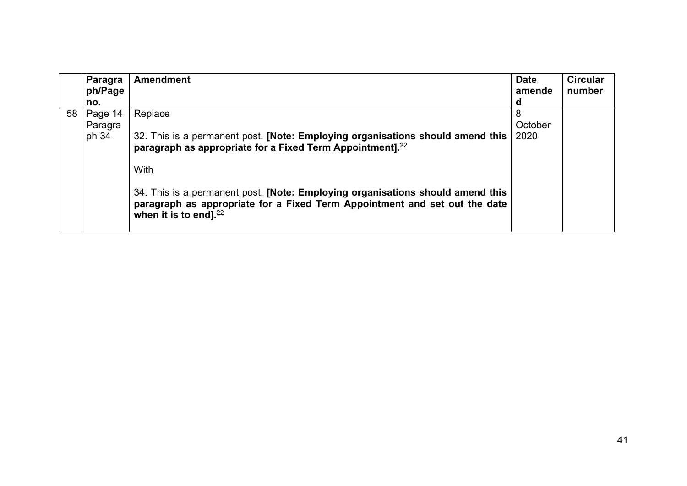|    | Paragra<br>ph/Page | <b>Amendment</b>                                                                                                                                                                         | <b>Date</b><br>amende | <b>Circular</b><br>number |
|----|--------------------|------------------------------------------------------------------------------------------------------------------------------------------------------------------------------------------|-----------------------|---------------------------|
|    | no.                |                                                                                                                                                                                          | d                     |                           |
| 58 | Page 14            | Replace                                                                                                                                                                                  | 8                     |                           |
|    | Paragra            |                                                                                                                                                                                          | October               |                           |
|    | ph 34              | 32. This is a permanent post. [Note: Employing organisations should amend this  <br>paragraph as appropriate for a Fixed Term Appointment]. <sup>22</sup>                                | 2020                  |                           |
|    |                    | With                                                                                                                                                                                     |                       |                           |
|    |                    | 34. This is a permanent post. [Note: Employing organisations should amend this<br>paragraph as appropriate for a Fixed Term Appointment and set out the date<br>when it is to end]. $22$ |                       |                           |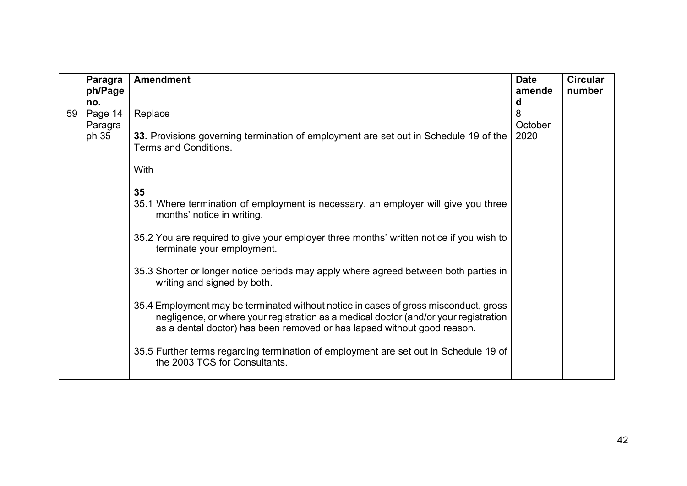|    | Paragra<br>ph/Page | <b>Amendment</b>                                                                                                                                                                                                                                        | <b>Date</b><br>amende | <b>Circular</b><br>number |
|----|--------------------|---------------------------------------------------------------------------------------------------------------------------------------------------------------------------------------------------------------------------------------------------------|-----------------------|---------------------------|
|    | no.                |                                                                                                                                                                                                                                                         | d                     |                           |
| 59 | Page 14            | Replace                                                                                                                                                                                                                                                 | 8                     |                           |
|    | Paragra            |                                                                                                                                                                                                                                                         | October               |                           |
|    | ph 35              | 33. Provisions governing termination of employment are set out in Schedule 19 of the<br><b>Terms and Conditions.</b>                                                                                                                                    | 2020                  |                           |
|    |                    | With                                                                                                                                                                                                                                                    |                       |                           |
|    |                    | 35                                                                                                                                                                                                                                                      |                       |                           |
|    |                    | 35.1 Where termination of employment is necessary, an employer will give you three<br>months' notice in writing.                                                                                                                                        |                       |                           |
|    |                    | 35.2 You are required to give your employer three months' written notice if you wish to<br>terminate your employment.                                                                                                                                   |                       |                           |
|    |                    | 35.3 Shorter or longer notice periods may apply where agreed between both parties in<br>writing and signed by both.                                                                                                                                     |                       |                           |
|    |                    | 35.4 Employment may be terminated without notice in cases of gross misconduct, gross<br>negligence, or where your registration as a medical doctor (and/or your registration<br>as a dental doctor) has been removed or has lapsed without good reason. |                       |                           |
|    |                    | 35.5 Further terms regarding termination of employment are set out in Schedule 19 of<br>the 2003 TCS for Consultants.                                                                                                                                   |                       |                           |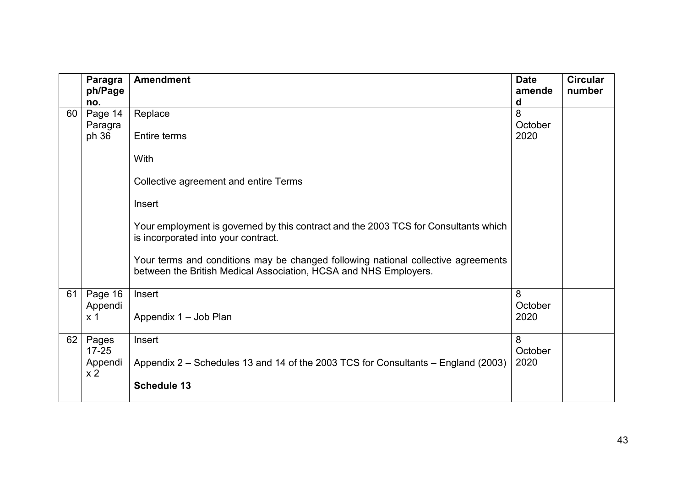|    | Paragra                   | <b>Amendment</b>                                                                                                                                      | <b>Date</b>     | <b>Circular</b> |
|----|---------------------------|-------------------------------------------------------------------------------------------------------------------------------------------------------|-----------------|-----------------|
|    | ph/Page<br>no.            |                                                                                                                                                       | amende<br>d     | number          |
| 60 | Page 14<br>Paragra        | Replace                                                                                                                                               | 8<br>October    |                 |
|    | ph 36                     | <b>Entire terms</b>                                                                                                                                   | 2020            |                 |
|    |                           | With                                                                                                                                                  |                 |                 |
|    |                           | Collective agreement and entire Terms                                                                                                                 |                 |                 |
|    |                           | Insert                                                                                                                                                |                 |                 |
|    |                           | Your employment is governed by this contract and the 2003 TCS for Consultants which<br>is incorporated into your contract.                            |                 |                 |
|    |                           | Your terms and conditions may be changed following national collective agreements<br>between the British Medical Association, HCSA and NHS Employers. |                 |                 |
| 61 | Page 16                   | Insert                                                                                                                                                | 8               |                 |
|    | Appendi<br>x <sub>1</sub> | Appendix 1 - Job Plan                                                                                                                                 | October<br>2020 |                 |
| 62 | Pages<br>$17 - 25$        | Insert                                                                                                                                                | 8<br>October    |                 |
|    | Appendi<br>x <sub>2</sub> | Appendix 2 – Schedules 13 and 14 of the 2003 TCS for Consultants – England (2003)                                                                     | 2020            |                 |
|    |                           | <b>Schedule 13</b>                                                                                                                                    |                 |                 |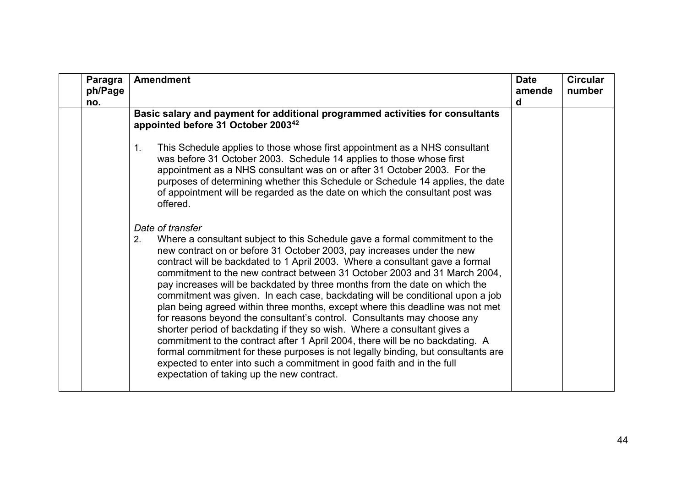| Paragra<br>ph/Page<br>no. | <b>Amendment</b>                                                                                                                                                                                                                                                                                                                                                                                                                                                                                                                                                                                                                                                                                                                                                                                                                                                                                                                                                                                                                                 | <b>Date</b><br>amende<br>d | <b>Circular</b><br>number |
|---------------------------|--------------------------------------------------------------------------------------------------------------------------------------------------------------------------------------------------------------------------------------------------------------------------------------------------------------------------------------------------------------------------------------------------------------------------------------------------------------------------------------------------------------------------------------------------------------------------------------------------------------------------------------------------------------------------------------------------------------------------------------------------------------------------------------------------------------------------------------------------------------------------------------------------------------------------------------------------------------------------------------------------------------------------------------------------|----------------------------|---------------------------|
|                           | Basic salary and payment for additional programmed activities for consultants<br>appointed before 31 October 2003 <sup>42</sup>                                                                                                                                                                                                                                                                                                                                                                                                                                                                                                                                                                                                                                                                                                                                                                                                                                                                                                                  |                            |                           |
|                           | This Schedule applies to those whose first appointment as a NHS consultant<br>1.<br>was before 31 October 2003. Schedule 14 applies to those whose first<br>appointment as a NHS consultant was on or after 31 October 2003. For the<br>purposes of determining whether this Schedule or Schedule 14 applies, the date<br>of appointment will be regarded as the date on which the consultant post was<br>offered.                                                                                                                                                                                                                                                                                                                                                                                                                                                                                                                                                                                                                               |                            |                           |
|                           | Date of transfer<br>Where a consultant subject to this Schedule gave a formal commitment to the<br>2.<br>new contract on or before 31 October 2003, pay increases under the new<br>contract will be backdated to 1 April 2003. Where a consultant gave a formal<br>commitment to the new contract between 31 October 2003 and 31 March 2004,<br>pay increases will be backdated by three months from the date on which the<br>commitment was given. In each case, backdating will be conditional upon a job<br>plan being agreed within three months, except where this deadline was not met<br>for reasons beyond the consultant's control. Consultants may choose any<br>shorter period of backdating if they so wish. Where a consultant gives a<br>commitment to the contract after 1 April 2004, there will be no backdating. A<br>formal commitment for these purposes is not legally binding, but consultants are<br>expected to enter into such a commitment in good faith and in the full<br>expectation of taking up the new contract. |                            |                           |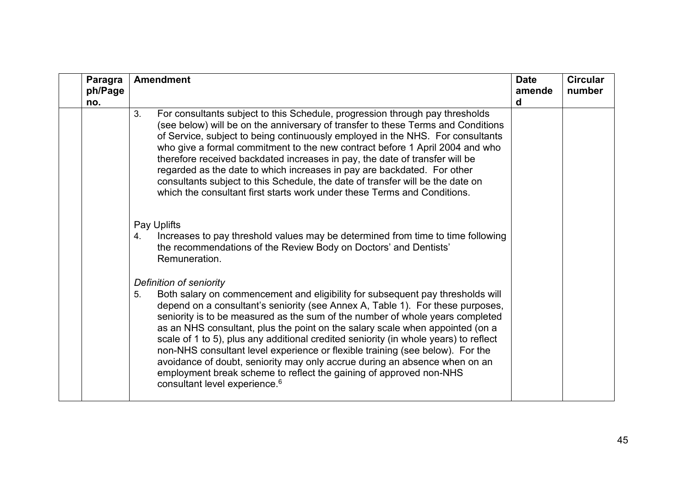| Paragra<br>ph/Page<br>no. | <b>Amendment</b>                                                                                                                                                                                                                                                                                                                                                                                                                                                                                                                                                                                                                                                                                                                              | <b>Date</b><br>amende<br>d | <b>Circular</b><br>number |
|---------------------------|-----------------------------------------------------------------------------------------------------------------------------------------------------------------------------------------------------------------------------------------------------------------------------------------------------------------------------------------------------------------------------------------------------------------------------------------------------------------------------------------------------------------------------------------------------------------------------------------------------------------------------------------------------------------------------------------------------------------------------------------------|----------------------------|---------------------------|
|                           | 3.<br>For consultants subject to this Schedule, progression through pay thresholds<br>(see below) will be on the anniversary of transfer to these Terms and Conditions<br>of Service, subject to being continuously employed in the NHS. For consultants<br>who give a formal commitment to the new contract before 1 April 2004 and who<br>therefore received backdated increases in pay, the date of transfer will be<br>regarded as the date to which increases in pay are backdated. For other<br>consultants subject to this Schedule, the date of transfer will be the date on<br>which the consultant first starts work under these Terms and Conditions.                                                                              |                            |                           |
|                           | Pay Uplifts<br>Increases to pay threshold values may be determined from time to time following<br>4.<br>the recommendations of the Review Body on Doctors' and Dentists'<br>Remuneration.                                                                                                                                                                                                                                                                                                                                                                                                                                                                                                                                                     |                            |                           |
|                           | Definition of seniority<br>Both salary on commencement and eligibility for subsequent pay thresholds will<br>5.<br>depend on a consultant's seniority (see Annex A, Table 1). For these purposes,<br>seniority is to be measured as the sum of the number of whole years completed<br>as an NHS consultant, plus the point on the salary scale when appointed (on a<br>scale of 1 to 5), plus any additional credited seniority (in whole years) to reflect<br>non-NHS consultant level experience or flexible training (see below). For the<br>avoidance of doubt, seniority may only accrue during an absence when on an<br>employment break scheme to reflect the gaining of approved non-NHS<br>consultant level experience. <sup>6</sup> |                            |                           |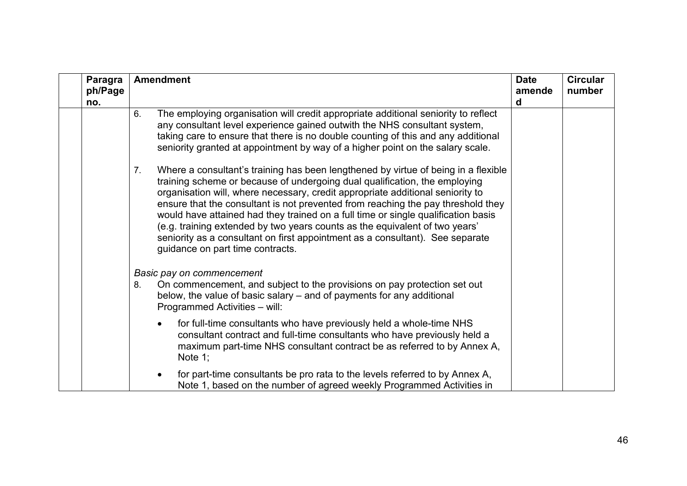| Paragra<br>ph/Page<br>no. | <b>Amendment</b>                                                                                                                                                                                                                                                                                                                                                                                                                                                                                                                                                                                                                      | <b>Date</b><br>amende<br>d | <b>Circular</b><br>number |
|---------------------------|---------------------------------------------------------------------------------------------------------------------------------------------------------------------------------------------------------------------------------------------------------------------------------------------------------------------------------------------------------------------------------------------------------------------------------------------------------------------------------------------------------------------------------------------------------------------------------------------------------------------------------------|----------------------------|---------------------------|
|                           | The employing organisation will credit appropriate additional seniority to reflect<br>6.<br>any consultant level experience gained outwith the NHS consultant system,<br>taking care to ensure that there is no double counting of this and any additional<br>seniority granted at appointment by way of a higher point on the salary scale.                                                                                                                                                                                                                                                                                          |                            |                           |
|                           | Where a consultant's training has been lengthened by virtue of being in a flexible<br>7.<br>training scheme or because of undergoing dual qualification, the employing<br>organisation will, where necessary, credit appropriate additional seniority to<br>ensure that the consultant is not prevented from reaching the pay threshold they<br>would have attained had they trained on a full time or single qualification basis<br>(e.g. training extended by two years counts as the equivalent of two years'<br>seniority as a consultant on first appointment as a consultant). See separate<br>guidance on part time contracts. |                            |                           |
|                           | Basic pay on commencement<br>On commencement, and subject to the provisions on pay protection set out<br>8.<br>below, the value of basic salary – and of payments for any additional<br>Programmed Activities - will:                                                                                                                                                                                                                                                                                                                                                                                                                 |                            |                           |
|                           | for full-time consultants who have previously held a whole-time NHS<br>$\bullet$<br>consultant contract and full-time consultants who have previously held a<br>maximum part-time NHS consultant contract be as referred to by Annex A,<br>Note 1;                                                                                                                                                                                                                                                                                                                                                                                    |                            |                           |
|                           | for part-time consultants be pro rata to the levels referred to by Annex A,<br>Note 1, based on the number of agreed weekly Programmed Activities in                                                                                                                                                                                                                                                                                                                                                                                                                                                                                  |                            |                           |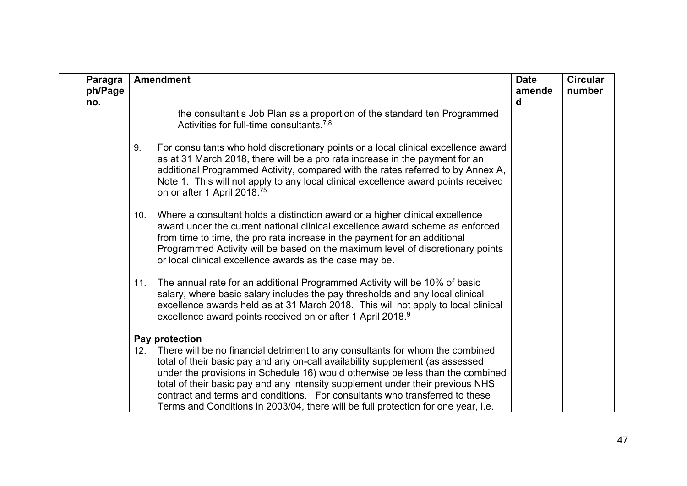| Paragra<br>ph/Page<br>no. | <b>Amendment</b>                                                                                                                                                                                                                                                                                                                                                                                                                                                                                              | <b>Date</b><br>amende<br>d | <b>Circular</b><br>number |
|---------------------------|---------------------------------------------------------------------------------------------------------------------------------------------------------------------------------------------------------------------------------------------------------------------------------------------------------------------------------------------------------------------------------------------------------------------------------------------------------------------------------------------------------------|----------------------------|---------------------------|
|                           | the consultant's Job Plan as a proportion of the standard ten Programmed<br>Activities for full-time consultants. <sup>7,8</sup>                                                                                                                                                                                                                                                                                                                                                                              |                            |                           |
|                           | For consultants who hold discretionary points or a local clinical excellence award<br>9.<br>as at 31 March 2018, there will be a pro rata increase in the payment for an<br>additional Programmed Activity, compared with the rates referred to by Annex A,<br>Note 1. This will not apply to any local clinical excellence award points received<br>on or after 1 April 2018. <sup>75</sup>                                                                                                                  |                            |                           |
|                           | Where a consultant holds a distinction award or a higher clinical excellence<br>10.<br>award under the current national clinical excellence award scheme as enforced<br>from time to time, the pro rata increase in the payment for an additional<br>Programmed Activity will be based on the maximum level of discretionary points<br>or local clinical excellence awards as the case may be.                                                                                                                |                            |                           |
|                           | The annual rate for an additional Programmed Activity will be 10% of basic<br>11.<br>salary, where basic salary includes the pay thresholds and any local clinical<br>excellence awards held as at 31 March 2018. This will not apply to local clinical<br>excellence award points received on or after 1 April 2018. <sup>9</sup>                                                                                                                                                                            |                            |                           |
|                           | Pay protection                                                                                                                                                                                                                                                                                                                                                                                                                                                                                                |                            |                           |
|                           | There will be no financial detriment to any consultants for whom the combined<br>12.<br>total of their basic pay and any on-call availability supplement (as assessed<br>under the provisions in Schedule 16) would otherwise be less than the combined<br>total of their basic pay and any intensity supplement under their previous NHS<br>contract and terms and conditions. For consultants who transferred to these<br>Terms and Conditions in 2003/04, there will be full protection for one year, i.e. |                            |                           |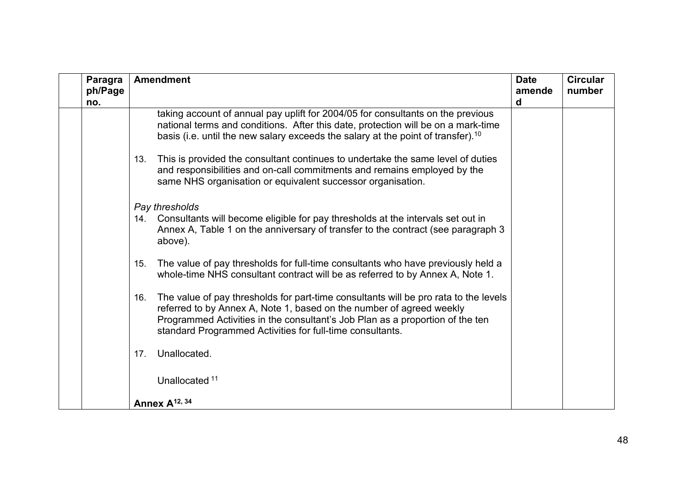| <b>Paragra</b><br>ph/Page<br>no. | <b>Amendment</b>                                                                                                                                                                                                                                                                                                  | <b>Date</b><br>amende<br>d | <b>Circular</b><br>number |
|----------------------------------|-------------------------------------------------------------------------------------------------------------------------------------------------------------------------------------------------------------------------------------------------------------------------------------------------------------------|----------------------------|---------------------------|
|                                  | taking account of annual pay uplift for 2004/05 for consultants on the previous<br>national terms and conditions. After this date, protection will be on a mark-time<br>basis (i.e. until the new salary exceeds the salary at the point of transfer). <sup>10</sup>                                              |                            |                           |
|                                  | This is provided the consultant continues to undertake the same level of duties<br>13.<br>and responsibilities and on-call commitments and remains employed by the<br>same NHS organisation or equivalent successor organisation.                                                                                 |                            |                           |
|                                  | Pay thresholds<br>Consultants will become eligible for pay thresholds at the intervals set out in<br>14.<br>Annex A, Table 1 on the anniversary of transfer to the contract (see paragraph 3<br>above).                                                                                                           |                            |                           |
|                                  | The value of pay thresholds for full-time consultants who have previously held a<br>15.<br>whole-time NHS consultant contract will be as referred to by Annex A, Note 1.                                                                                                                                          |                            |                           |
|                                  | The value of pay thresholds for part-time consultants will be pro rata to the levels<br>16.<br>referred to by Annex A, Note 1, based on the number of agreed weekly<br>Programmed Activities in the consultant's Job Plan as a proportion of the ten<br>standard Programmed Activities for full-time consultants. |                            |                           |
|                                  | Unallocated.<br>17 <sub>1</sub>                                                                                                                                                                                                                                                                                   |                            |                           |
|                                  | Unallocated <sup>11</sup>                                                                                                                                                                                                                                                                                         |                            |                           |
|                                  | Annex A <sup>12, 34</sup>                                                                                                                                                                                                                                                                                         |                            |                           |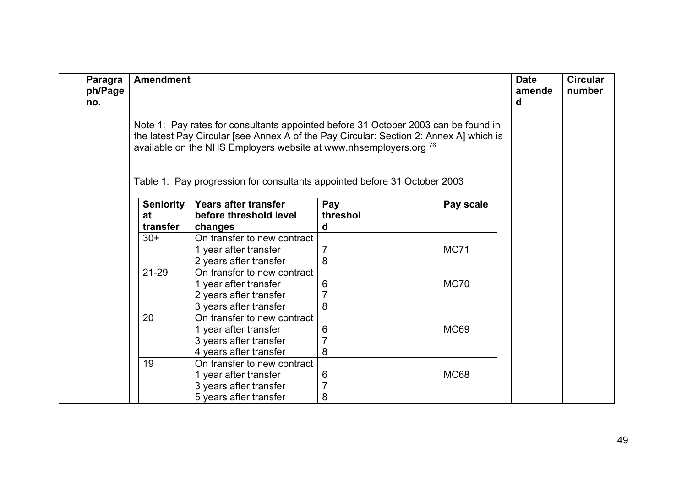| <b>Paragra</b><br>ph/Page<br>no.                                                                                                                                                                                                                  | <b>Amendment</b>                                                                                                |                                                                                                          |             |             |  |  |
|---------------------------------------------------------------------------------------------------------------------------------------------------------------------------------------------------------------------------------------------------|-----------------------------------------------------------------------------------------------------------------|----------------------------------------------------------------------------------------------------------|-------------|-------------|--|--|
| Note 1: Pay rates for consultants appointed before 31 October 2003 can be found in<br>the latest Pay Circular [see Annex A of the Pay Circular: Section 2: Annex A] which is<br>available on the NHS Employers website at www.nhsemployers.org 76 |                                                                                                                 |                                                                                                          |             |             |  |  |
|                                                                                                                                                                                                                                                   | Table 1: Pay progression for consultants appointed before 31 October 2003                                       |                                                                                                          |             |             |  |  |
|                                                                                                                                                                                                                                                   | <b>Seniority</b><br><b>Years after transfer</b><br>Pay<br>Pay scale<br>threshol<br>before threshold level<br>at |                                                                                                          |             |             |  |  |
|                                                                                                                                                                                                                                                   | transfer<br>$30+$                                                                                               | changes<br>On transfer to new contract<br>1 year after transfer<br>2 years after transfer                | d<br>8      | <b>MC71</b> |  |  |
|                                                                                                                                                                                                                                                   | 21-29                                                                                                           | On transfer to new contract<br>1 year after transfer<br>2 years after transfer<br>3 years after transfer | 6<br>8      | <b>MC70</b> |  |  |
|                                                                                                                                                                                                                                                   | 20                                                                                                              | On transfer to new contract<br>1 year after transfer<br>3 years after transfer<br>4 years after transfer | 6<br>7<br>8 | <b>MC69</b> |  |  |
|                                                                                                                                                                                                                                                   | 19                                                                                                              | On transfer to new contract<br>1 year after transfer<br>3 years after transfer<br>5 years after transfer | 6<br>8      | <b>MC68</b> |  |  |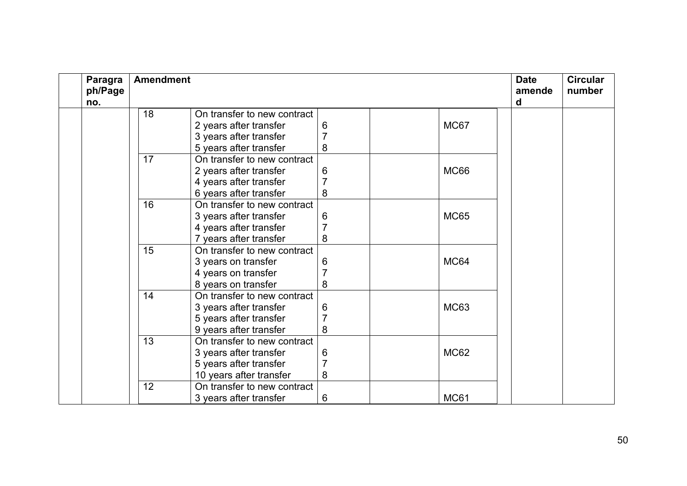| Paragra<br>ph/Page<br>no. | <b>Amendment</b> |                             |                |  |             | <b>Date</b><br>amende<br>d | <b>Circular</b><br>number |
|---------------------------|------------------|-----------------------------|----------------|--|-------------|----------------------------|---------------------------|
|                           | 18               | On transfer to new contract |                |  |             |                            |                           |
|                           |                  | 2 years after transfer      | 6              |  | MC67        |                            |                           |
|                           |                  | 3 years after transfer      |                |  |             |                            |                           |
|                           |                  | 5 years after transfer      | 8              |  |             |                            |                           |
|                           | 17               | On transfer to new contract |                |  |             |                            |                           |
|                           |                  | 2 years after transfer      | 6              |  | MC66        |                            |                           |
|                           |                  | 4 years after transfer      | 7              |  |             |                            |                           |
|                           |                  | 6 years after transfer      | 8              |  |             |                            |                           |
|                           | 16               | On transfer to new contract |                |  |             |                            |                           |
|                           |                  | 3 years after transfer      | 6              |  | <b>MC65</b> |                            |                           |
|                           |                  | 4 years after transfer      |                |  |             |                            |                           |
|                           |                  | 7 years after transfer      | 8              |  |             |                            |                           |
|                           | 15               | On transfer to new contract |                |  |             |                            |                           |
|                           |                  | 3 years on transfer         | 6              |  | MC64        |                            |                           |
|                           |                  | 4 years on transfer         |                |  |             |                            |                           |
|                           |                  | 8 years on transfer         | 8              |  |             |                            |                           |
|                           | 14               | On transfer to new contract |                |  |             |                            |                           |
|                           |                  | 3 years after transfer      | 6              |  | <b>MC63</b> |                            |                           |
|                           |                  | 5 years after transfer      | 7              |  |             |                            |                           |
|                           |                  | 9 years after transfer      | 8              |  |             |                            |                           |
|                           | 13               | On transfer to new contract |                |  |             |                            |                           |
|                           |                  | 3 years after transfer      | 6              |  | <b>MC62</b> |                            |                           |
|                           |                  | 5 years after transfer      | $\overline{7}$ |  |             |                            |                           |
|                           |                  | 10 years after transfer     | 8              |  |             |                            |                           |
|                           | 12               | On transfer to new contract |                |  |             |                            |                           |
|                           |                  | 3 years after transfer      | 6              |  | <b>MC61</b> |                            |                           |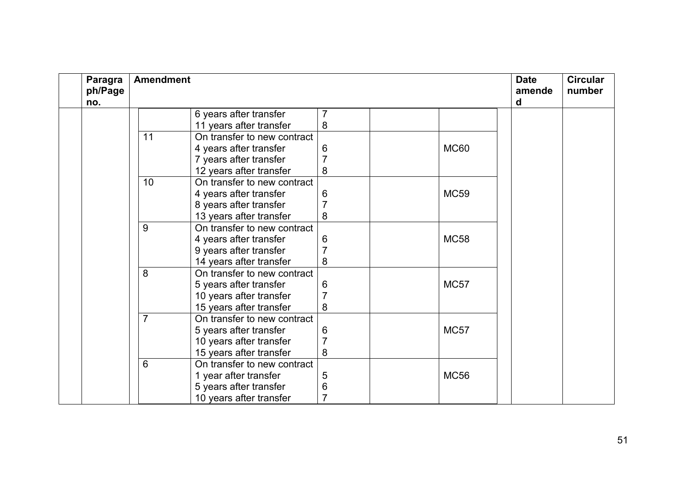| Paragra<br>ph/Page<br>no. | <b>Amendment</b> |                             |   |  |             | <b>Date</b><br>amende<br>d | <b>Circular</b><br>number |
|---------------------------|------------------|-----------------------------|---|--|-------------|----------------------------|---------------------------|
|                           |                  | 6 years after transfer      |   |  |             |                            |                           |
|                           |                  | 11 years after transfer     | 8 |  |             |                            |                           |
|                           | 11               | On transfer to new contract |   |  |             |                            |                           |
|                           |                  | 4 years after transfer      | 6 |  | <b>MC60</b> |                            |                           |
|                           |                  | 7 years after transfer      |   |  |             |                            |                           |
|                           |                  | 12 years after transfer     | 8 |  |             |                            |                           |
|                           | 10               | On transfer to new contract |   |  |             |                            |                           |
|                           |                  | 4 years after transfer      | 6 |  | <b>MC59</b> |                            |                           |
|                           |                  | 8 years after transfer      |   |  |             |                            |                           |
|                           |                  | 13 years after transfer     | 8 |  |             |                            |                           |
|                           | 9                | On transfer to new contract |   |  |             |                            |                           |
|                           |                  | 4 years after transfer      | 6 |  | <b>MC58</b> |                            |                           |
|                           |                  | 9 years after transfer      |   |  |             |                            |                           |
|                           |                  | 14 years after transfer     | 8 |  |             |                            |                           |
|                           | 8                | On transfer to new contract |   |  |             |                            |                           |
|                           |                  | 5 years after transfer      | 6 |  | <b>MC57</b> |                            |                           |
|                           |                  | 10 years after transfer     |   |  |             |                            |                           |
|                           |                  | 15 years after transfer     | 8 |  |             |                            |                           |
|                           | $\overline{7}$   | On transfer to new contract |   |  |             |                            |                           |
|                           |                  | 5 years after transfer      | 6 |  | <b>MC57</b> |                            |                           |
|                           |                  | 10 years after transfer     |   |  |             |                            |                           |
|                           |                  | 15 years after transfer     | 8 |  |             |                            |                           |
|                           | 6                | On transfer to new contract |   |  |             |                            |                           |
|                           |                  | 1 year after transfer       | 5 |  | <b>MC56</b> |                            |                           |
|                           |                  | 5 years after transfer      | 6 |  |             |                            |                           |
|                           |                  | 10 years after transfer     |   |  |             |                            |                           |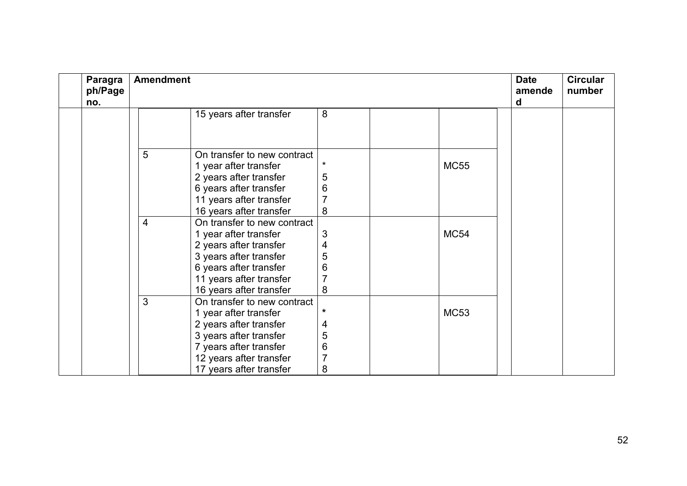| Paragra<br>ph/Page<br>no. | <b>Amendment</b> |                                                      |          |  |             |  | <b>Circular</b><br>number |
|---------------------------|------------------|------------------------------------------------------|----------|--|-------------|--|---------------------------|
|                           |                  | 15 years after transfer                              | 8        |  |             |  |                           |
|                           |                  |                                                      |          |  |             |  |                           |
|                           |                  |                                                      |          |  |             |  |                           |
|                           | 5                | On transfer to new contract<br>1 year after transfer | $^\star$ |  | <b>MC55</b> |  |                           |
|                           |                  | 2 years after transfer                               | 5        |  |             |  |                           |
|                           |                  | 6 years after transfer                               | 6        |  |             |  |                           |
|                           |                  | 11 years after transfer                              | 7        |  |             |  |                           |
|                           |                  | 16 years after transfer                              | 8        |  |             |  |                           |
|                           | $\overline{4}$   | On transfer to new contract                          |          |  |             |  |                           |
|                           |                  | 1 year after transfer                                | 3        |  | <b>MC54</b> |  |                           |
|                           |                  | 2 years after transfer                               | 4        |  |             |  |                           |
|                           |                  | 3 years after transfer                               | 5        |  |             |  |                           |
|                           |                  | 6 years after transfer                               | 6        |  |             |  |                           |
|                           |                  | 11 years after transfer                              |          |  |             |  |                           |
|                           |                  | 16 years after transfer                              | 8        |  |             |  |                           |
|                           | 3                | On transfer to new contract                          |          |  |             |  |                           |
|                           |                  | 1 year after transfer                                | *        |  | <b>MC53</b> |  |                           |
|                           |                  | 2 years after transfer                               | 4        |  |             |  |                           |
|                           |                  | 3 years after transfer                               | 5        |  |             |  |                           |
|                           |                  | 7 years after transfer                               | 6        |  |             |  |                           |
|                           |                  | 12 years after transfer                              | 7        |  |             |  |                           |
|                           |                  | 17 years after transfer                              | 8        |  |             |  |                           |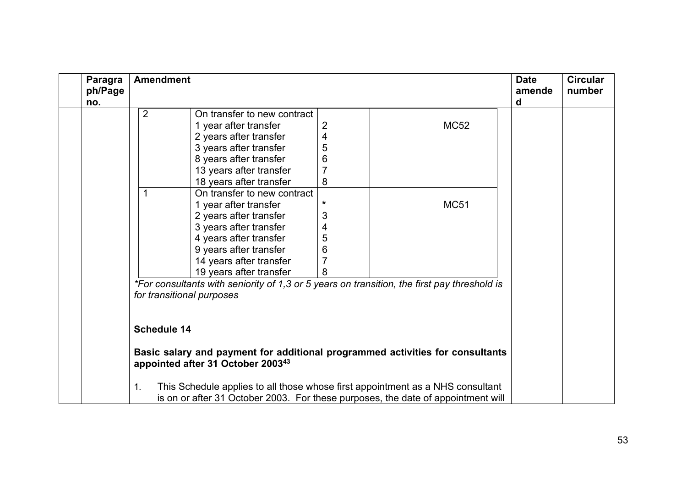| Paragra<br>ph/Page<br>no. | <b>Amendment</b>                                                                                                               | <b>Date</b><br>amende<br>d | <b>Circular</b><br>number |  |  |
|---------------------------|--------------------------------------------------------------------------------------------------------------------------------|----------------------------|---------------------------|--|--|
|                           | $\overline{2}$<br>On transfer to new contract                                                                                  |                            |                           |  |  |
|                           | 1 year after transfer                                                                                                          | $\overline{2}$             | <b>MC52</b>               |  |  |
|                           | 2 years after transfer                                                                                                         | 4                          |                           |  |  |
|                           | 3 years after transfer                                                                                                         | 5                          |                           |  |  |
|                           | 8 years after transfer                                                                                                         | 6                          |                           |  |  |
|                           | 13 years after transfer                                                                                                        | $\overline{7}$             |                           |  |  |
|                           | 18 years after transfer                                                                                                        | 8                          |                           |  |  |
|                           | On transfer to new contract                                                                                                    |                            |                           |  |  |
|                           | 1 year after transfer                                                                                                          | $\star$                    | <b>MC51</b>               |  |  |
|                           | 2 years after transfer                                                                                                         | 3                          |                           |  |  |
|                           | 3 years after transfer                                                                                                         | 4                          |                           |  |  |
|                           | 4 years after transfer                                                                                                         | 5                          |                           |  |  |
|                           | 9 years after transfer                                                                                                         | 6                          |                           |  |  |
|                           | 14 years after transfer                                                                                                        | $\overline{7}$             |                           |  |  |
|                           | 19 years after transfer                                                                                                        | 8                          |                           |  |  |
|                           | *For consultants with seniority of 1,3 or 5 years on transition, the first pay threshold is<br>for transitional purposes       |                            |                           |  |  |
|                           |                                                                                                                                |                            |                           |  |  |
|                           | <b>Schedule 14</b>                                                                                                             |                            |                           |  |  |
|                           | Basic salary and payment for additional programmed activities for consultants<br>appointed after 31 October 2003 <sup>43</sup> |                            |                           |  |  |
|                           | This Schedule applies to all those whose first appointment as a NHS consultant<br>1.                                           |                            |                           |  |  |
|                           | is on or after 31 October 2003. For these purposes, the date of appointment will                                               |                            |                           |  |  |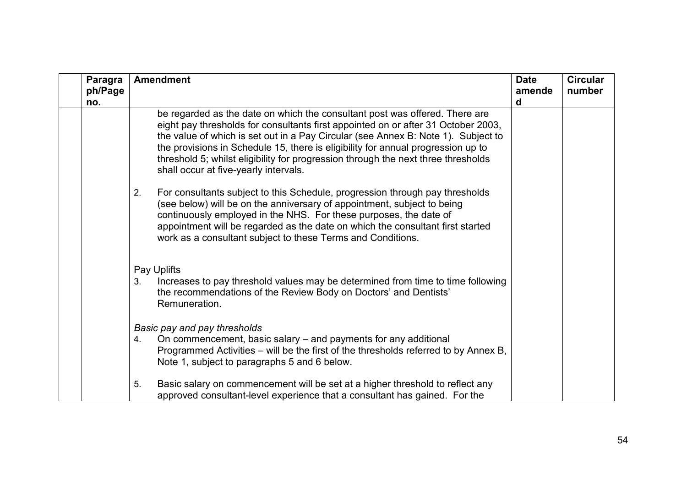<span id="page-53-1"></span><span id="page-53-0"></span>

| Paragra<br>ph/Page<br>no. | <b>Amendment</b>                                                                                                                                                                                                                                                                                                                                                                                                                                                        | <b>Date</b><br>amende<br>d | <b>Circular</b><br>number |
|---------------------------|-------------------------------------------------------------------------------------------------------------------------------------------------------------------------------------------------------------------------------------------------------------------------------------------------------------------------------------------------------------------------------------------------------------------------------------------------------------------------|----------------------------|---------------------------|
|                           | be regarded as the date on which the consultant post was offered. There are<br>eight pay thresholds for consultants first appointed on or after 31 October 2003,<br>the value of which is set out in a Pay Circular (see Annex B: Note 1). Subject to<br>the provisions in Schedule 15, there is eligibility for annual progression up to<br>threshold 5; whilst eligibility for progression through the next three thresholds<br>shall occur at five-yearly intervals. |                            |                           |
|                           | For consultants subject to this Schedule, progression through pay thresholds<br>2.<br>(see below) will be on the anniversary of appointment, subject to being<br>continuously employed in the NHS. For these purposes, the date of<br>appointment will be regarded as the date on which the consultant first started<br>work as a consultant subject to these Terms and Conditions.                                                                                     |                            |                           |
|                           | Pay Uplifts<br>Increases to pay threshold values may be determined from time to time following<br>3.<br>the recommendations of the Review Body on Doctors' and Dentists'<br>Remuneration.                                                                                                                                                                                                                                                                               |                            |                           |
|                           | Basic pay and pay thresholds<br>On commencement, basic salary – and payments for any additional<br>4.<br>Programmed Activities – will be the first of the thresholds referred to by Annex B,<br>Note 1, subject to paragraphs 5 and 6 below.                                                                                                                                                                                                                            |                            |                           |
|                           | Basic salary on commencement will be set at a higher threshold to reflect any<br>5.<br>approved consultant-level experience that a consultant has gained. For the                                                                                                                                                                                                                                                                                                       |                            |                           |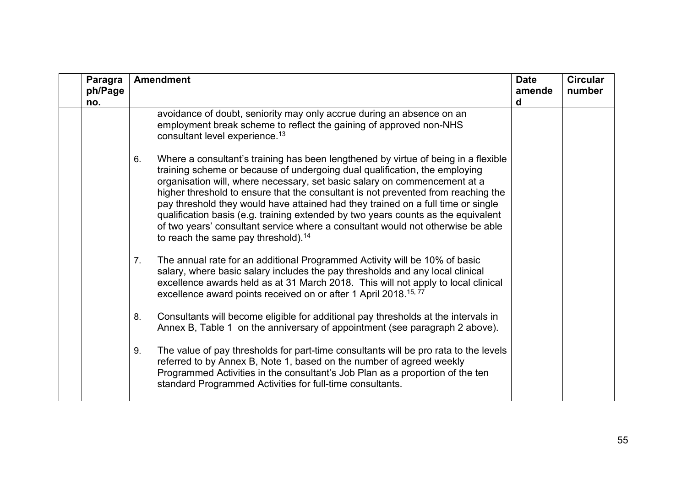<span id="page-54-0"></span>

| Paragra<br>ph/Page<br>no. | <b>Amendment</b>                                                                                                                                                                                                                                                                                                                                                                                                                                                                                                                                                                                                                                        | <b>Date</b><br>amende<br>d | <b>Circular</b><br>number |
|---------------------------|---------------------------------------------------------------------------------------------------------------------------------------------------------------------------------------------------------------------------------------------------------------------------------------------------------------------------------------------------------------------------------------------------------------------------------------------------------------------------------------------------------------------------------------------------------------------------------------------------------------------------------------------------------|----------------------------|---------------------------|
|                           | avoidance of doubt, seniority may only accrue during an absence on an<br>employment break scheme to reflect the gaining of approved non-NHS<br>consultant level experience. <sup>13</sup>                                                                                                                                                                                                                                                                                                                                                                                                                                                               |                            |                           |
|                           | Where a consultant's training has been lengthened by virtue of being in a flexible<br>6.<br>training scheme or because of undergoing dual qualification, the employing<br>organisation will, where necessary, set basic salary on commencement at a<br>higher threshold to ensure that the consultant is not prevented from reaching the<br>pay threshold they would have attained had they trained on a full time or single<br>qualification basis (e.g. training extended by two years counts as the equivalent<br>of two years' consultant service where a consultant would not otherwise be able<br>to reach the same pay threshold). <sup>14</sup> |                            |                           |
|                           | The annual rate for an additional Programmed Activity will be 10% of basic<br>7.<br>salary, where basic salary includes the pay thresholds and any local clinical<br>excellence awards held as at 31 March 2018. This will not apply to local clinical<br>excellence award points received on or after 1 April 2018. <sup>15,77</sup>                                                                                                                                                                                                                                                                                                                   |                            |                           |
|                           | Consultants will become eligible for additional pay thresholds at the intervals in<br>8.<br>Annex B, Table 1 on the anniversary of appointment (see paragraph 2 above).                                                                                                                                                                                                                                                                                                                                                                                                                                                                                 |                            |                           |
|                           | The value of pay thresholds for part-time consultants will be pro rata to the levels<br>9.<br>referred to by Annex B, Note 1, based on the number of agreed weekly<br>Programmed Activities in the consultant's Job Plan as a proportion of the ten<br>standard Programmed Activities for full-time consultants.                                                                                                                                                                                                                                                                                                                                        |                            |                           |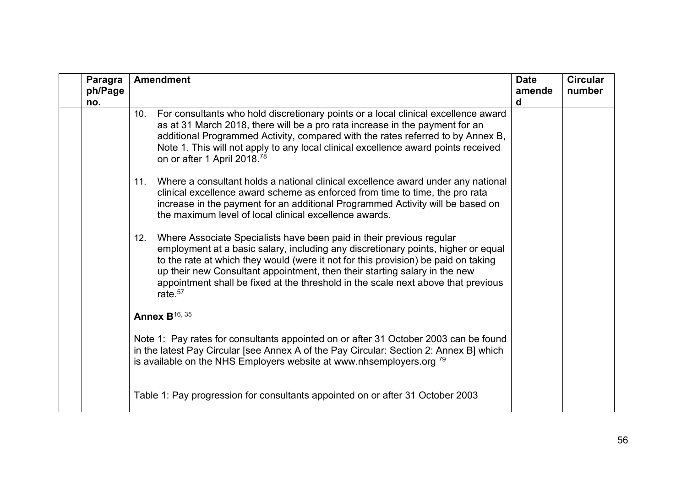| Paragra<br>ph/Page<br>no. | <b>Amendment</b>                                                                                                                                                                                                                                                                                                                                                                                                                        | <b>Date</b><br>amende<br>d | <b>Circular</b><br>number |
|---------------------------|-----------------------------------------------------------------------------------------------------------------------------------------------------------------------------------------------------------------------------------------------------------------------------------------------------------------------------------------------------------------------------------------------------------------------------------------|----------------------------|---------------------------|
|                           | For consultants who hold discretionary points or a local clinical excellence award<br>10.<br>as at 31 March 2018, there will be a pro rata increase in the payment for an<br>additional Programmed Activity, compared with the rates referred to by Annex B,<br>Note 1. This will not apply to any local clinical excellence award points received<br>on or after 1 April 2018. <sup>78</sup>                                           |                            |                           |
|                           | Where a consultant holds a national clinical excellence award under any national<br>11.<br>clinical excellence award scheme as enforced from time to time, the pro rata<br>increase in the payment for an additional Programmed Activity will be based on<br>the maximum level of local clinical excellence awards.                                                                                                                     |                            |                           |
|                           | Where Associate Specialists have been paid in their previous regular<br>12.<br>employment at a basic salary, including any discretionary points, higher or equal<br>to the rate at which they would (were it not for this provision) be paid on taking<br>up their new Consultant appointment, then their starting salary in the new<br>appointment shall be fixed at the threshold in the scale next above that previous<br>rate. $57$ |                            |                           |
|                           | <b>Annex B</b> <sup>16, 35</sup>                                                                                                                                                                                                                                                                                                                                                                                                        |                            |                           |
|                           | Note 1: Pay rates for consultants appointed on or after 31 October 2003 can be found<br>in the latest Pay Circular [see Annex A of the Pay Circular: Section 2: Annex B] which<br>is available on the NHS Employers website at www.nhsemployers.org <sup>79</sup>                                                                                                                                                                       |                            |                           |
|                           | Table 1: Pay progression for consultants appointed on or after 31 October 2003                                                                                                                                                                                                                                                                                                                                                          |                            |                           |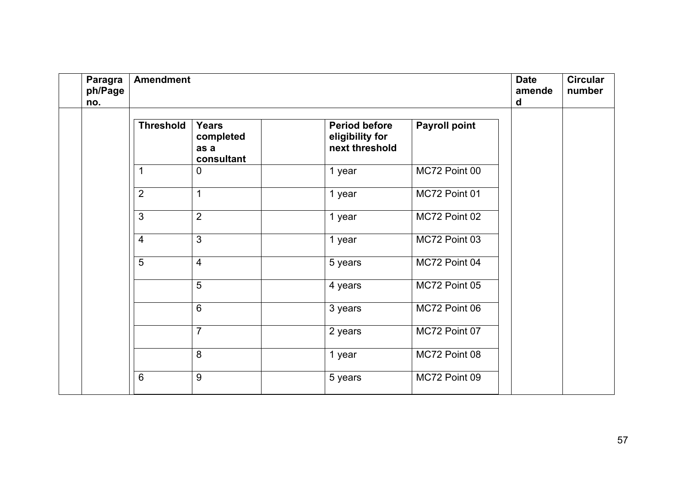| Paragra<br>ph/Page<br>no. | <b>Amendment</b> |                                                 |                                                           |                      | <b>Date</b><br>amende<br>d | <b>Circular</b><br>number |
|---------------------------|------------------|-------------------------------------------------|-----------------------------------------------------------|----------------------|----------------------------|---------------------------|
|                           | <b>Threshold</b> | <b>Years</b><br>completed<br>as a<br>consultant | <b>Period before</b><br>eligibility for<br>next threshold | <b>Payroll point</b> |                            |                           |
|                           | 1                | $\Omega$                                        | 1 year                                                    | MC72 Point 00        |                            |                           |
|                           | $\overline{2}$   | 1                                               | 1 year                                                    | MC72 Point 01        |                            |                           |
|                           | $\mathbf{3}$     | $\overline{2}$                                  | 1 year                                                    | MC72 Point 02        |                            |                           |
|                           | $\overline{4}$   | $\overline{3}$                                  | 1 year                                                    | MC72 Point 03        |                            |                           |
|                           | $\overline{5}$   | $\overline{4}$                                  | 5 years                                                   | MC72 Point 04        |                            |                           |
|                           |                  | $5\phantom{1}$                                  | 4 years                                                   | MC72 Point 05        |                            |                           |
|                           |                  | $6\phantom{1}6$                                 | 3 years                                                   | MC72 Point 06        |                            |                           |
|                           |                  | $\overline{7}$                                  | 2 years                                                   | MC72 Point 07        |                            |                           |
|                           |                  | 8                                               | 1 year                                                    | MC72 Point 08        |                            |                           |
|                           | $6\phantom{1}6$  | 9                                               | 5 years                                                   | MC72 Point 09        |                            |                           |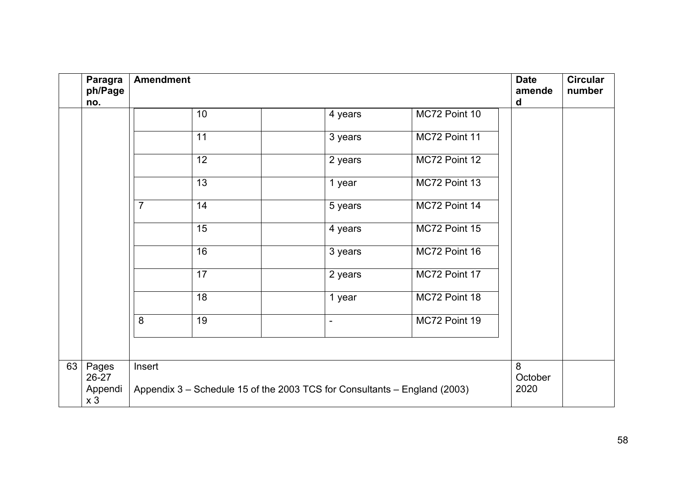|    | Paragra<br>ph/Page<br>no.                   | <b>Amendment</b>                                                                    |    |  |                          |               |   | <b>Circular</b><br>number |
|----|---------------------------------------------|-------------------------------------------------------------------------------------|----|--|--------------------------|---------------|---|---------------------------|
|    |                                             |                                                                                     | 10 |  | 4 years                  | MC72 Point 10 | d |                           |
|    |                                             |                                                                                     | 11 |  | 3 years                  | MC72 Point 11 |   |                           |
|    |                                             |                                                                                     | 12 |  | 2 years                  | MC72 Point 12 |   |                           |
|    |                                             |                                                                                     | 13 |  | 1 year                   | MC72 Point 13 |   |                           |
|    |                                             | $\overline{7}$                                                                      | 14 |  | 5 years                  | MC72 Point 14 |   |                           |
|    |                                             |                                                                                     | 15 |  | 4 years                  | MC72 Point 15 |   |                           |
|    |                                             |                                                                                     | 16 |  | 3 years                  | MC72 Point 16 |   |                           |
|    |                                             |                                                                                     | 17 |  | 2 years                  | MC72 Point 17 |   |                           |
|    |                                             |                                                                                     | 18 |  | 1 year                   | MC72 Point 18 |   |                           |
|    |                                             | 8                                                                                   | 19 |  | $\overline{\phantom{a}}$ | MC72 Point 19 |   |                           |
|    |                                             |                                                                                     |    |  |                          |               |   |                           |
| 63 | Pages<br>26-27<br>Appendi<br>x <sub>3</sub> | Insert<br>Appendix 3 – Schedule 15 of the 2003 TCS for Consultants – England (2003) |    |  |                          |               |   |                           |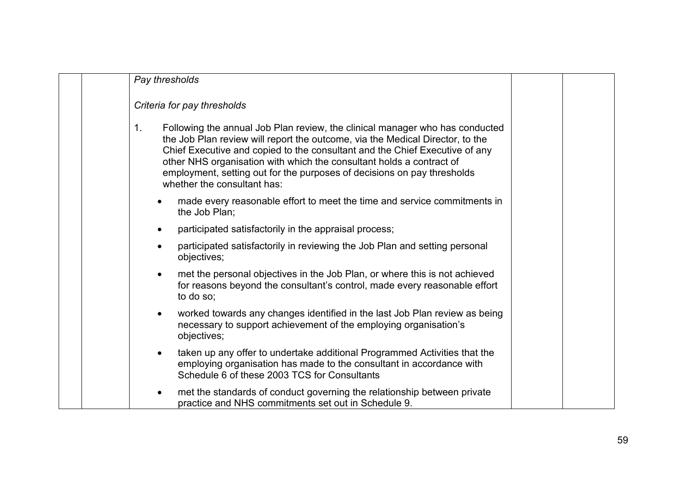<span id="page-58-0"></span>

| Pay thresholds                                                                                                                                                                                                                                                                                                                                                                                                                       |  |
|--------------------------------------------------------------------------------------------------------------------------------------------------------------------------------------------------------------------------------------------------------------------------------------------------------------------------------------------------------------------------------------------------------------------------------------|--|
| Criteria for pay thresholds                                                                                                                                                                                                                                                                                                                                                                                                          |  |
| 1.<br>Following the annual Job Plan review, the clinical manager who has conducted<br>the Job Plan review will report the outcome, via the Medical Director, to the<br>Chief Executive and copied to the consultant and the Chief Executive of any<br>other NHS organisation with which the consultant holds a contract of<br>employment, setting out for the purposes of decisions on pay thresholds<br>whether the consultant has: |  |
| made every reasonable effort to meet the time and service commitments in<br>the Job Plan:                                                                                                                                                                                                                                                                                                                                            |  |
| participated satisfactorily in the appraisal process;<br>$\bullet$                                                                                                                                                                                                                                                                                                                                                                   |  |
| participated satisfactorily in reviewing the Job Plan and setting personal<br>$\bullet$<br>objectives;                                                                                                                                                                                                                                                                                                                               |  |
| met the personal objectives in the Job Plan, or where this is not achieved<br>$\bullet$<br>for reasons beyond the consultant's control, made every reasonable effort<br>to do so:                                                                                                                                                                                                                                                    |  |
| worked towards any changes identified in the last Job Plan review as being<br>$\bullet$<br>necessary to support achievement of the employing organisation's<br>objectives;                                                                                                                                                                                                                                                           |  |
| taken up any offer to undertake additional Programmed Activities that the<br>$\bullet$<br>employing organisation has made to the consultant in accordance with<br>Schedule 6 of these 2003 TCS for Consultants                                                                                                                                                                                                                       |  |
| met the standards of conduct governing the relationship between private<br>practice and NHS commitments set out in Schedule 9.                                                                                                                                                                                                                                                                                                       |  |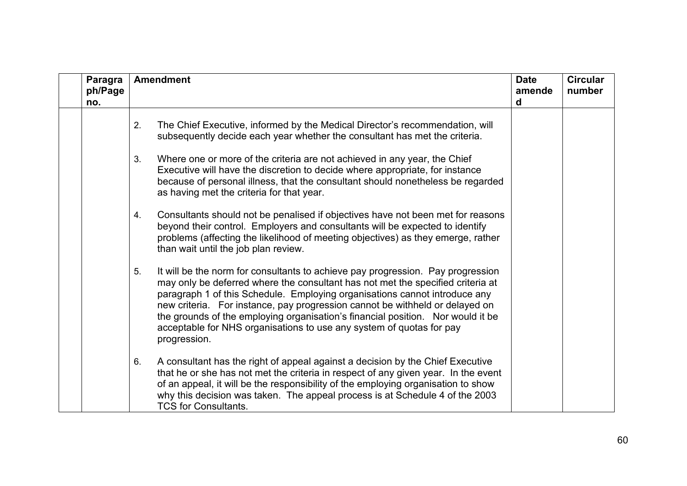| Paragra<br>ph/Page<br>no. | <b>Amendment</b>                                                                                                                                                                                                                                                                                                                                                                                                                                                                                                  | <b>Date</b><br>amende<br>d | <b>Circular</b><br>number |
|---------------------------|-------------------------------------------------------------------------------------------------------------------------------------------------------------------------------------------------------------------------------------------------------------------------------------------------------------------------------------------------------------------------------------------------------------------------------------------------------------------------------------------------------------------|----------------------------|---------------------------|
|                           | The Chief Executive, informed by the Medical Director's recommendation, will<br>2.<br>subsequently decide each year whether the consultant has met the criteria.                                                                                                                                                                                                                                                                                                                                                  |                            |                           |
|                           | Where one or more of the criteria are not achieved in any year, the Chief<br>3.<br>Executive will have the discretion to decide where appropriate, for instance<br>because of personal illness, that the consultant should nonetheless be regarded<br>as having met the criteria for that year.                                                                                                                                                                                                                   |                            |                           |
|                           | Consultants should not be penalised if objectives have not been met for reasons<br>4.<br>beyond their control. Employers and consultants will be expected to identify<br>problems (affecting the likelihood of meeting objectives) as they emerge, rather<br>than wait until the job plan review.                                                                                                                                                                                                                 |                            |                           |
|                           | It will be the norm for consultants to achieve pay progression. Pay progression<br>5.<br>may only be deferred where the consultant has not met the specified criteria at<br>paragraph 1 of this Schedule. Employing organisations cannot introduce any<br>new criteria. For instance, pay progression cannot be withheld or delayed on<br>the grounds of the employing organisation's financial position. Nor would it be<br>acceptable for NHS organisations to use any system of quotas for pay<br>progression. |                            |                           |
|                           | A consultant has the right of appeal against a decision by the Chief Executive<br>6.<br>that he or she has not met the criteria in respect of any given year. In the event<br>of an appeal, it will be the responsibility of the employing organisation to show<br>why this decision was taken. The appeal process is at Schedule 4 of the 2003<br><b>TCS for Consultants.</b>                                                                                                                                    |                            |                           |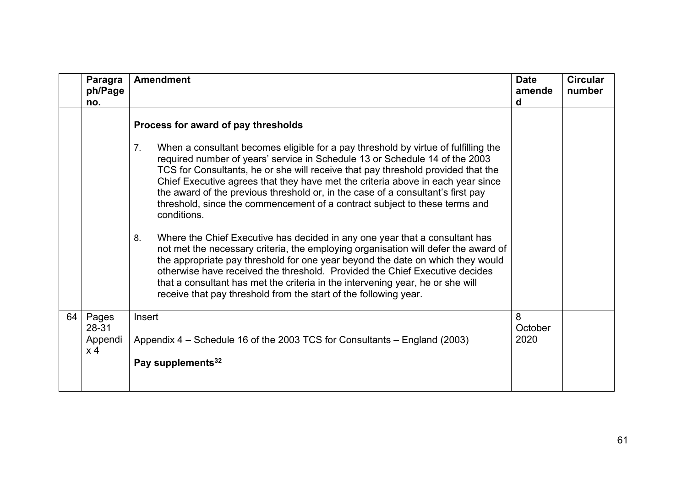|    | Paragra<br>ph/Page<br>no.          | <b>Amendment</b>                                                                                                                                                                                                                                                                                                                                                                                                                                                                                                               | <b>Date</b><br>amende<br>d | <b>Circular</b><br>number |
|----|------------------------------------|--------------------------------------------------------------------------------------------------------------------------------------------------------------------------------------------------------------------------------------------------------------------------------------------------------------------------------------------------------------------------------------------------------------------------------------------------------------------------------------------------------------------------------|----------------------------|---------------------------|
|    |                                    | Process for award of pay thresholds                                                                                                                                                                                                                                                                                                                                                                                                                                                                                            |                            |                           |
|    |                                    | 7.<br>When a consultant becomes eligible for a pay threshold by virtue of fulfilling the<br>required number of years' service in Schedule 13 or Schedule 14 of the 2003<br>TCS for Consultants, he or she will receive that pay threshold provided that the<br>Chief Executive agrees that they have met the criteria above in each year since<br>the award of the previous threshold or, in the case of a consultant's first pay<br>threshold, since the commencement of a contract subject to these terms and<br>conditions. |                            |                           |
|    |                                    | Where the Chief Executive has decided in any one year that a consultant has<br>8.<br>not met the necessary criteria, the employing organisation will defer the award of<br>the appropriate pay threshold for one year beyond the date on which they would<br>otherwise have received the threshold. Provided the Chief Executive decides<br>that a consultant has met the criteria in the intervening year, he or she will<br>receive that pay threshold from the start of the following year.                                 |                            |                           |
| 64 | Pages<br>28-31<br>Appendi<br>$x$ 4 | Insert<br>Appendix 4 – Schedule 16 of the 2003 TCS for Consultants – England (2003)<br>Pay supplements <sup>32</sup>                                                                                                                                                                                                                                                                                                                                                                                                           | 8<br>October<br>2020       |                           |
|    |                                    |                                                                                                                                                                                                                                                                                                                                                                                                                                                                                                                                |                            |                           |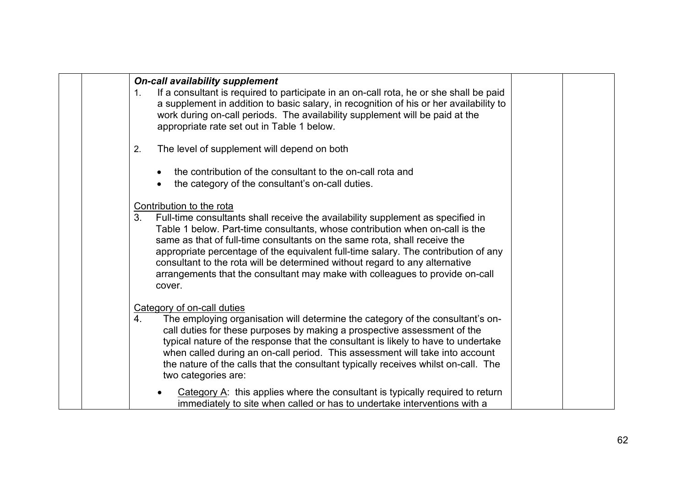|  | <b>On-call availability supplement</b><br>If a consultant is required to participate in an on-call rota, he or she shall be paid<br>1.<br>a supplement in addition to basic salary, in recognition of his or her availability to<br>work during on-call periods. The availability supplement will be paid at the<br>appropriate rate set out in Table 1 below.                                                                                                                                                                                |  |
|--|-----------------------------------------------------------------------------------------------------------------------------------------------------------------------------------------------------------------------------------------------------------------------------------------------------------------------------------------------------------------------------------------------------------------------------------------------------------------------------------------------------------------------------------------------|--|
|  | The level of supplement will depend on both<br>2.                                                                                                                                                                                                                                                                                                                                                                                                                                                                                             |  |
|  | the contribution of the consultant to the on-call rota and<br>the category of the consultant's on-call duties.                                                                                                                                                                                                                                                                                                                                                                                                                                |  |
|  | Contribution to the rota<br>3.<br>Full-time consultants shall receive the availability supplement as specified in<br>Table 1 below. Part-time consultants, whose contribution when on-call is the<br>same as that of full-time consultants on the same rota, shall receive the<br>appropriate percentage of the equivalent full-time salary. The contribution of any<br>consultant to the rota will be determined without regard to any alternative<br>arrangements that the consultant may make with colleagues to provide on-call<br>cover. |  |
|  | Category of on-call duties<br>4.<br>The employing organisation will determine the category of the consultant's on-<br>call duties for these purposes by making a prospective assessment of the<br>typical nature of the response that the consultant is likely to have to undertake<br>when called during an on-call period. This assessment will take into account<br>the nature of the calls that the consultant typically receives whilst on-call. The<br>two categories are:                                                              |  |
|  | Category $A$ : this applies where the consultant is typically required to return<br>immediately to site when called or has to undertake interventions with a                                                                                                                                                                                                                                                                                                                                                                                  |  |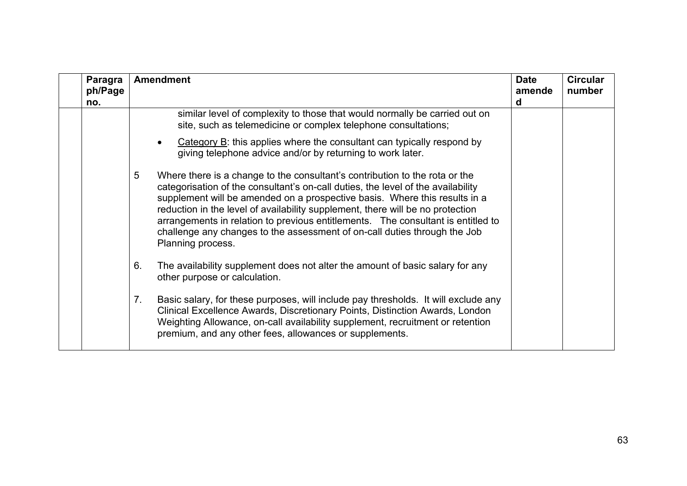| Paragra<br>ph/Page<br>no. | <b>Amendment</b>                                                                                                                                                                                                                                                                                                                                                                                                                                                                                                           | <b>Date</b><br>amende<br>d | <b>Circular</b><br>number |
|---------------------------|----------------------------------------------------------------------------------------------------------------------------------------------------------------------------------------------------------------------------------------------------------------------------------------------------------------------------------------------------------------------------------------------------------------------------------------------------------------------------------------------------------------------------|----------------------------|---------------------------|
|                           | similar level of complexity to those that would normally be carried out on<br>site, such as telemedicine or complex telephone consultations;                                                                                                                                                                                                                                                                                                                                                                               |                            |                           |
|                           | Category B: this applies where the consultant can typically respond by<br>giving telephone advice and/or by returning to work later.                                                                                                                                                                                                                                                                                                                                                                                       |                            |                           |
|                           | 5<br>Where there is a change to the consultant's contribution to the rota or the<br>categorisation of the consultant's on-call duties, the level of the availability<br>supplement will be amended on a prospective basis. Where this results in a<br>reduction in the level of availability supplement, there will be no protection<br>arrangements in relation to previous entitlements. The consultant is entitled to<br>challenge any changes to the assessment of on-call duties through the Job<br>Planning process. |                            |                           |
|                           | 6.<br>The availability supplement does not alter the amount of basic salary for any<br>other purpose or calculation.                                                                                                                                                                                                                                                                                                                                                                                                       |                            |                           |
|                           | 7.<br>Basic salary, for these purposes, will include pay thresholds. It will exclude any<br>Clinical Excellence Awards, Discretionary Points, Distinction Awards, London<br>Weighting Allowance, on-call availability supplement, recruitment or retention<br>premium, and any other fees, allowances or supplements.                                                                                                                                                                                                      |                            |                           |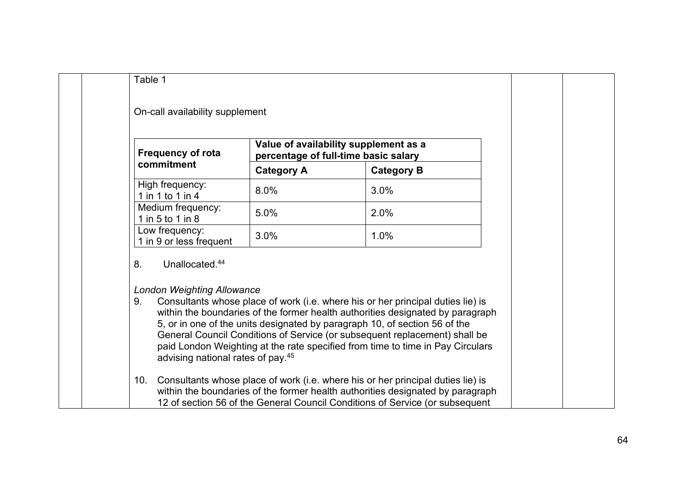| <b>Frequency of rota</b><br>commitment                                                                                       | Value of availability supplement as a<br>percentage of full-time basic salary |                                                                                                                                                                                                                                                                                                                                                                                                                 |  |
|------------------------------------------------------------------------------------------------------------------------------|-------------------------------------------------------------------------------|-----------------------------------------------------------------------------------------------------------------------------------------------------------------------------------------------------------------------------------------------------------------------------------------------------------------------------------------------------------------------------------------------------------------|--|
|                                                                                                                              | <b>Category A</b>                                                             | <b>Category B</b>                                                                                                                                                                                                                                                                                                                                                                                               |  |
| High frequency:<br>1 in 1 to 1 in 4                                                                                          | 8.0%                                                                          | 3.0%                                                                                                                                                                                                                                                                                                                                                                                                            |  |
| Medium frequency:<br>1 in 5 to 1 in 8                                                                                        | 5.0%                                                                          | 2.0%                                                                                                                                                                                                                                                                                                                                                                                                            |  |
| Low frequency:<br>1 in 9 or less frequent                                                                                    | 3.0%                                                                          | 1.0%                                                                                                                                                                                                                                                                                                                                                                                                            |  |
| Unallocated. <sup>44</sup><br>8.<br><b>London Weighting Allowance</b><br>9.<br>advising national rates of pay. <sup>45</sup> |                                                                               | Consultants whose place of work (i.e. where his or her principal duties lie) is<br>within the boundaries of the former health authorities designated by paragraph<br>5, or in one of the units designated by paragraph 10, of section 56 of the<br>General Council Conditions of Service (or subsequent replacement) shall be<br>paid London Weighting at the rate specified from time to time in Pay Circulars |  |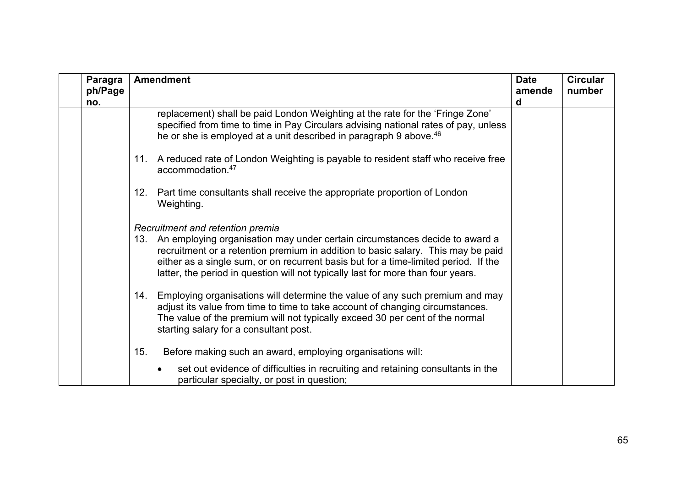| Paragra<br>ph/Page<br>no. | <b>Amendment</b>                                                                                                                                                                                                                                                                                                                                                                   | <b>Date</b><br>amende<br>d | <b>Circular</b><br>number |
|---------------------------|------------------------------------------------------------------------------------------------------------------------------------------------------------------------------------------------------------------------------------------------------------------------------------------------------------------------------------------------------------------------------------|----------------------------|---------------------------|
|                           | replacement) shall be paid London Weighting at the rate for the 'Fringe Zone'<br>specified from time to time in Pay Circulars advising national rates of pay, unless<br>he or she is employed at a unit described in paragraph 9 above. <sup>46</sup>                                                                                                                              |                            |                           |
|                           | 11. A reduced rate of London Weighting is payable to resident staff who receive free<br>accommodation. <sup>47</sup>                                                                                                                                                                                                                                                               |                            |                           |
|                           | Part time consultants shall receive the appropriate proportion of London<br>12.<br>Weighting.                                                                                                                                                                                                                                                                                      |                            |                           |
|                           | Recruitment and retention premia<br>13. An employing organisation may under certain circumstances decide to award a<br>recruitment or a retention premium in addition to basic salary. This may be paid<br>either as a single sum, or on recurrent basis but for a time-limited period. If the<br>latter, the period in question will not typically last for more than four years. |                            |                           |
|                           | 14. Employing organisations will determine the value of any such premium and may<br>adjust its value from time to time to take account of changing circumstances.<br>The value of the premium will not typically exceed 30 per cent of the normal<br>starting salary for a consultant post.                                                                                        |                            |                           |
|                           | 15.<br>Before making such an award, employing organisations will:                                                                                                                                                                                                                                                                                                                  |                            |                           |
|                           | set out evidence of difficulties in recruiting and retaining consultants in the<br>particular specialty, or post in question;                                                                                                                                                                                                                                                      |                            |                           |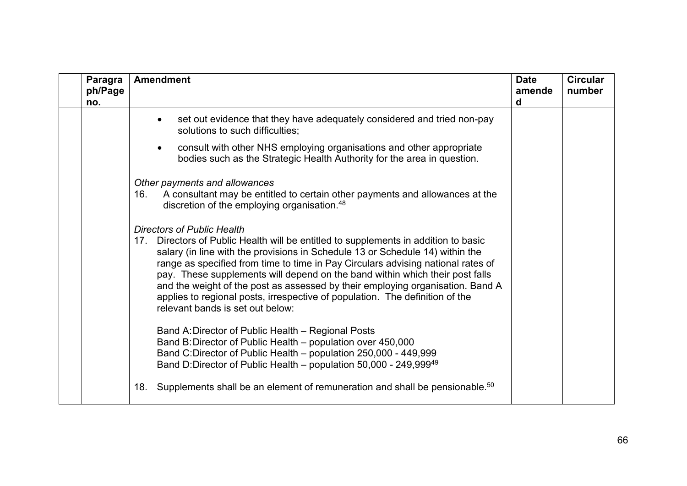| Paragra<br>ph/Page<br>no. | <b>Amendment</b>                                                                                                                                                                                                                                                                                                                                                                                                                                                                                                                                                                       | <b>Date</b><br>amende<br>d | <b>Circular</b><br>number |
|---------------------------|----------------------------------------------------------------------------------------------------------------------------------------------------------------------------------------------------------------------------------------------------------------------------------------------------------------------------------------------------------------------------------------------------------------------------------------------------------------------------------------------------------------------------------------------------------------------------------------|----------------------------|---------------------------|
|                           | set out evidence that they have adequately considered and tried non-pay<br>$\bullet$<br>solutions to such difficulties;                                                                                                                                                                                                                                                                                                                                                                                                                                                                |                            |                           |
|                           | consult with other NHS employing organisations and other appropriate<br>$\bullet$<br>bodies such as the Strategic Health Authority for the area in question.                                                                                                                                                                                                                                                                                                                                                                                                                           |                            |                           |
|                           | Other payments and allowances<br>A consultant may be entitled to certain other payments and allowances at the<br>16.<br>discretion of the employing organisation. <sup>48</sup>                                                                                                                                                                                                                                                                                                                                                                                                        |                            |                           |
|                           | <b>Directors of Public Health</b><br>Directors of Public Health will be entitled to supplements in addition to basic<br>17.<br>salary (in line with the provisions in Schedule 13 or Schedule 14) within the<br>range as specified from time to time in Pay Circulars advising national rates of<br>pay. These supplements will depend on the band within which their post falls<br>and the weight of the post as assessed by their employing organisation. Band A<br>applies to regional posts, irrespective of population. The definition of the<br>relevant bands is set out below: |                            |                           |
|                           | Band A: Director of Public Health - Regional Posts<br>Band B: Director of Public Health - population over 450,000<br>Band C:Director of Public Health - population 250,000 - 449,999<br>Band D:Director of Public Health – population 50,000 - 249,999 <sup>49</sup>                                                                                                                                                                                                                                                                                                                   |                            |                           |
|                           | Supplements shall be an element of remuneration and shall be pensionable. <sup>50</sup><br>18.                                                                                                                                                                                                                                                                                                                                                                                                                                                                                         |                            |                           |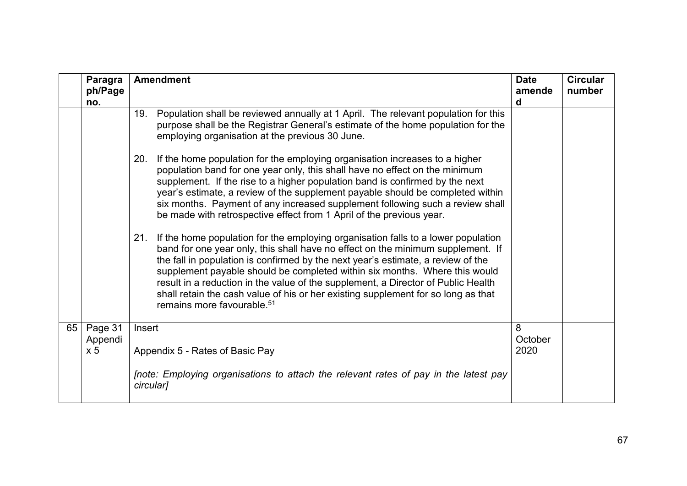|                                      | 19. Population shall be reviewed annually at 1 April. The relevant population for this<br>purpose shall be the Registrar General's estimate of the home population for the<br>employing organisation at the previous 30 June.<br>If the home population for the employing organisation increases to a higher<br>20.<br>population band for one year only, this shall have no effect on the minimum<br>supplement. If the rise to a higher population band is confirmed by the next                                                                                |                      |                                                                                      |
|--------------------------------------|-------------------------------------------------------------------------------------------------------------------------------------------------------------------------------------------------------------------------------------------------------------------------------------------------------------------------------------------------------------------------------------------------------------------------------------------------------------------------------------------------------------------------------------------------------------------|----------------------|--------------------------------------------------------------------------------------|
|                                      |                                                                                                                                                                                                                                                                                                                                                                                                                                                                                                                                                                   |                      |                                                                                      |
|                                      | year's estimate, a review of the supplement payable should be completed within<br>six months. Payment of any increased supplement following such a review shall<br>be made with retrospective effect from 1 April of the previous year.                                                                                                                                                                                                                                                                                                                           |                      |                                                                                      |
|                                      | If the home population for the employing organisation falls to a lower population<br>21.<br>band for one year only, this shall have no effect on the minimum supplement. If<br>the fall in population is confirmed by the next year's estimate, a review of the<br>supplement payable should be completed within six months. Where this would<br>result in a reduction in the value of the supplement, a Director of Public Health<br>shall retain the cash value of his or her existing supplement for so long as that<br>remains more favourable. <sup>51</sup> |                      |                                                                                      |
| Page 31<br>Appendi<br>x <sub>5</sub> | Insert<br>Appendix 5 - Rates of Basic Pay                                                                                                                                                                                                                                                                                                                                                                                                                                                                                                                         | 8<br>October<br>2020 |                                                                                      |
|                                      |                                                                                                                                                                                                                                                                                                                                                                                                                                                                                                                                                                   | circular]            | Inote: Employing organisations to attach the relevant rates of pay in the latest pay |